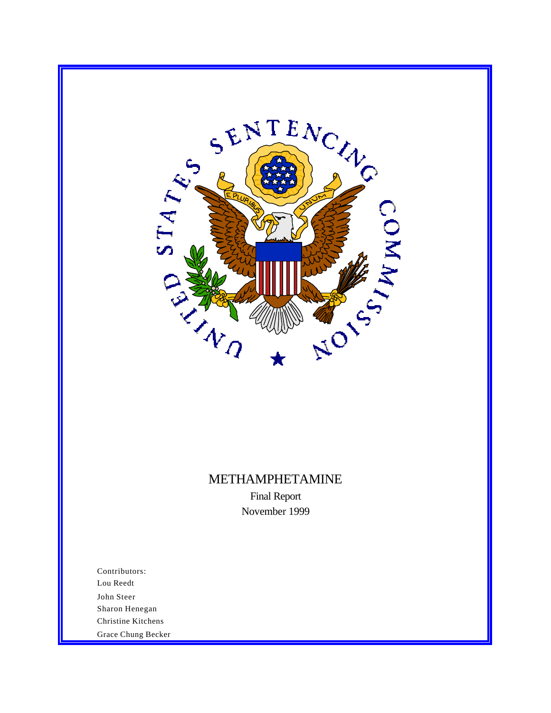

## METHAMPHETAMINE Final Report

November 1999

Contributors: Lou Reedt John Steer Sharon Henegan Christine Kitchens Grace Chung Becker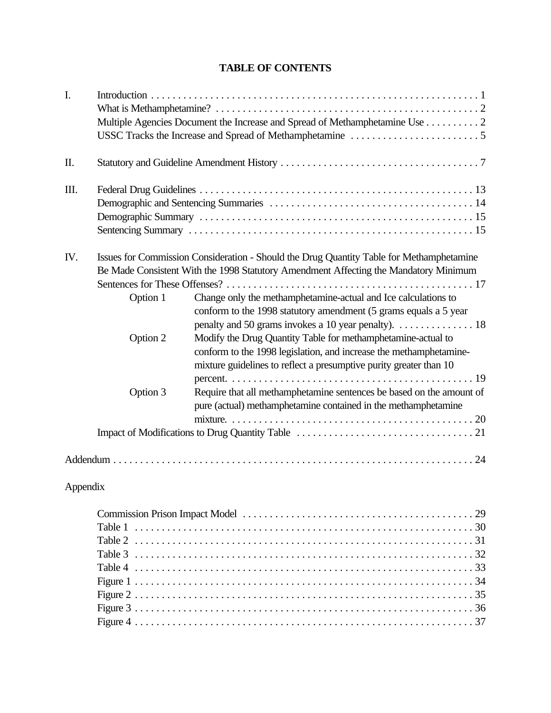## **TABLE OF CONTENTS**

| I.       |          |                                                                                                                                                                                                                                                                                                                                                                               |  |  |  |  |  |  |
|----------|----------|-------------------------------------------------------------------------------------------------------------------------------------------------------------------------------------------------------------------------------------------------------------------------------------------------------------------------------------------------------------------------------|--|--|--|--|--|--|
|          |          | Multiple Agencies Document the Increase and Spread of Methamphetamine Use 2                                                                                                                                                                                                                                                                                                   |  |  |  |  |  |  |
| Π.       |          |                                                                                                                                                                                                                                                                                                                                                                               |  |  |  |  |  |  |
| Ш.       |          |                                                                                                                                                                                                                                                                                                                                                                               |  |  |  |  |  |  |
| IV.      | Option 1 | Issues for Commission Consideration - Should the Drug Quantity Table for Methamphetamine<br>Be Made Consistent With the 1998 Statutory Amendment Affecting the Mandatory Minimum<br>Change only the methamphetamine-actual and Ice calculations to<br>conform to the 1998 statutory amendment (5 grams equals a 5 year<br>penalty and 50 grams invokes a 10 year penalty). 18 |  |  |  |  |  |  |
|          | Option 2 | Modify the Drug Quantity Table for methamphetamine-actual to<br>conform to the 1998 legislation, and increase the methamphetamine-<br>mixture guidelines to reflect a presumptive purity greater than 10                                                                                                                                                                      |  |  |  |  |  |  |
|          | Option 3 | Require that all methamphetamine sentences be based on the amount of<br>pure (actual) methamphetamine contained in the methamphetamine                                                                                                                                                                                                                                        |  |  |  |  |  |  |
|          |          |                                                                                                                                                                                                                                                                                                                                                                               |  |  |  |  |  |  |
|          |          |                                                                                                                                                                                                                                                                                                                                                                               |  |  |  |  |  |  |
| Appendix |          |                                                                                                                                                                                                                                                                                                                                                                               |  |  |  |  |  |  |
|          |          |                                                                                                                                                                                                                                                                                                                                                                               |  |  |  |  |  |  |
|          |          |                                                                                                                                                                                                                                                                                                                                                                               |  |  |  |  |  |  |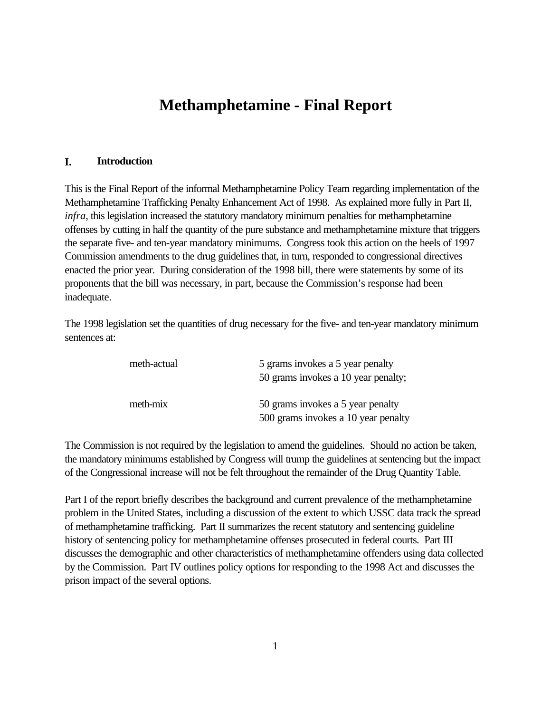## **Methamphetamine - Final Report**

## **I. Introduction**

This is the Final Report of the informal Methamphetamine Policy Team regarding implementation of the Methamphetamine Trafficking Penalty Enhancement Act of 1998. As explained more fully in Part II, *infra*, this legislation increased the statutory mandatory minimum penalties for methamphetamine offenses by cutting in half the quantity of the pure substance and methamphetamine mixture that triggers the separate five- and ten-year mandatory minimums. Congress took this action on the heels of 1997 Commission amendments to the drug guidelines that, in turn, responded to congressional directives enacted the prior year. During consideration of the 1998 bill, there were statements by some of its proponents that the bill was necessary, in part, because the Commission's response had been inadequate.

The 1998 legislation set the quantities of drug necessary for the five- and ten-year mandatory minimum sentences at:

| meth-actual | 5 grams invokes a 5 year penalty<br>50 grams invokes a 10 year penalty;  |
|-------------|--------------------------------------------------------------------------|
| meth-mix    | 50 grams invokes a 5 year penalty<br>500 grams invokes a 10 year penalty |

The Commission is not required by the legislation to amend the guidelines. Should no action be taken, the mandatory minimums established by Congress will trump the guidelines at sentencing but the impact of the Congressional increase will not be felt throughout the remainder of the Drug Quantity Table.

Part I of the report briefly describes the background and current prevalence of the methamphetamine problem in the United States, including a discussion of the extent to which USSC data track the spread of methamphetamine trafficking. Part II summarizes the recent statutory and sentencing guideline history of sentencing policy for methamphetamine offenses prosecuted in federal courts. Part III discusses the demographic and other characteristics of methamphetamine offenders using data collected by the Commission. Part IV outlines policy options for responding to the 1998 Act and discusses the prison impact of the several options.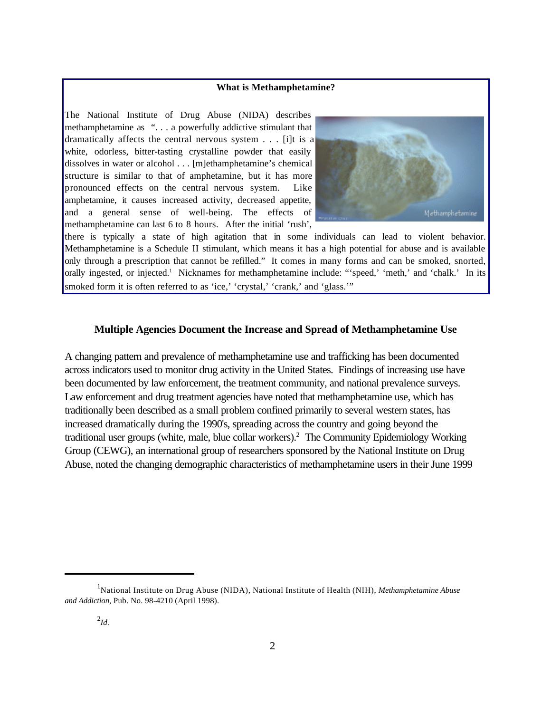#### **What is Methamphetamine?**

The National Institute of Drug Abuse (NIDA) describes methamphetamine as ". . . a powerfully addictive stimulant that dramatically affects the central nervous system . . . [i]t is a white, odorless, bitter-tasting crystalline powder that easily dissolves in water or alcohol . . . [m]ethamphetamine's chemical structure is similar to that of amphetamine, but it has more pronounced effects on the central nervous system. Like amphetamine, it causes increased activity, decreased appetite, and a general sense of well-being. The effects of methamphetamine can last 6 to 8 hours. After the initial 'rush',



there is typically a state of high agitation that in some individuals can lead to violent behavior. Methamphetamine is a Schedule II stimulant, which means it has a high potential for abuse and is available only through a prescription that cannot be refilled." It comes in many forms and can be smoked, snorted, orally ingested, or injected.<sup>1</sup> Nicknames for methamphetamine include: "'speed,' 'meth,' and 'chalk.' In its smoked form it is often referred to as 'ice,' 'crystal,' 'crank,' and 'glass.'"

#### **Multiple Agencies Document the Increase and Spread of Methamphetamine Use**

A changing pattern and prevalence of methamphetamine use and trafficking has been documented across indicators used to monitor drug activity in the United States. Findings of increasing use have been documented by law enforcement, the treatment community, and national prevalence surveys. Law enforcement and drug treatment agencies have noted that methamphetamine use, which has traditionally been described as a small problem confined primarily to several western states, has increased dramatically during the 1990's, spreading across the country and going beyond the traditional user groups (white, male, blue collar workers).<sup>2</sup> The Community Epidemiology Working Group (CEWG), an international group of researchers sponsored by the National Institute on Drug Abuse, noted the changing demographic characteristics of methamphetamine users in their June 1999

<sup>1</sup>National Institute on Drug Abuse (NIDA), National Institute of Health (NIH), *Methamphetamine Abuse and Addiction*, Pub. No. 98-4210 (April 1998).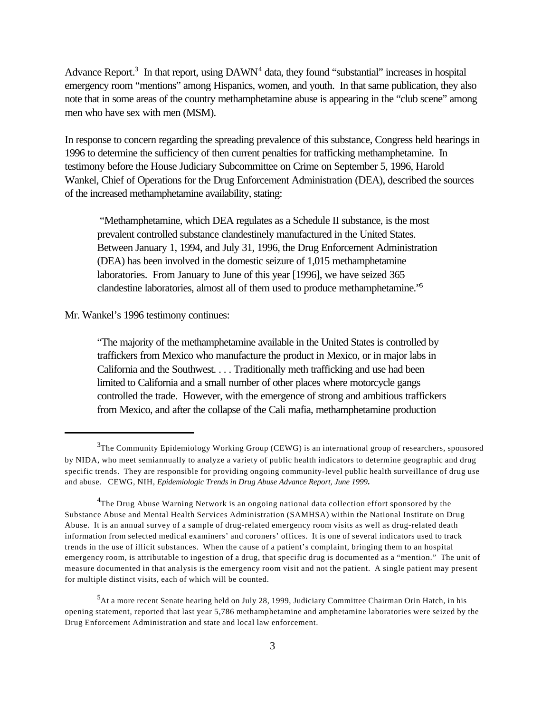Advance Report.<sup>3</sup> In that report, using DAWN<sup>4</sup> data, they found "substantial" increases in hospital emergency room "mentions" among Hispanics, women, and youth. In that same publication, they also note that in some areas of the country methamphetamine abuse is appearing in the "club scene" among men who have sex with men (MSM).

In response to concern regarding the spreading prevalence of this substance, Congress held hearings in 1996 to determine the sufficiency of then current penalties for trafficking methamphetamine. In testimony before the House Judiciary Subcommittee on Crime on September 5, 1996, Harold Wankel, Chief of Operations for the Drug Enforcement Administration (DEA), described the sources of the increased methamphetamine availability, stating:

 "Methamphetamine, which DEA regulates as a Schedule II substance, is the most prevalent controlled substance clandestinely manufactured in the United States. Between January 1, 1994, and July 31, 1996, the Drug Enforcement Administration (DEA) has been involved in the domestic seizure of 1,015 methamphetamine laboratories. From January to June of this year [1996], we have seized 365 clandestine laboratories, almost all of them used to produce methamphetamine."<sup>5</sup>

Mr. Wankel's 1996 testimony continues:

"The majority of the methamphetamine available in the United States is controlled by traffickers from Mexico who manufacture the product in Mexico, or in major labs in California and the Southwest. . . . Traditionally meth trafficking and use had been limited to California and a small number of other places where motorcycle gangs controlled the trade. However, with the emergence of strong and ambitious traffickers from Mexico, and after the collapse of the Cali mafia, methamphetamine production

 $\rm ^3$ The Community Epidemiology Working Group (CEWG) is an international group of researchers, sponsored by NIDA, who meet semiannually to analyze a variety of public health indicators to determine geographic and drug specific trends. They are responsible for providing ongoing community-level public health surveillance of drug use and abuse. CEWG, NIH, *Epidemiologic Trends in Drug Abuse Advance Report, June 1999***.**

 ${\rm ^4}$ The Drug Abuse Warning Network is an ongoing national data collection effort sponsored by the Substance Abuse and Mental Health Services Administration (SAMHSA) within the National Institute on Drug Abuse. It is an annual survey of a sample of drug-related emergency room visits as well as drug-related death information from selected medical examiners' and coroners' offices. It is one of several indicators used to track trends in the use of illicit substances. When the cause of a patient's complaint, bringing them to an hospital emergency room, is attributable to ingestion of a drug, that specific drug is documented as a "mention." The unit of measure documented in that analysis is the emergency room visit and not the patient. A single patient may present for multiple distinct visits, each of which will be counted.

<sup>5</sup>At a more recent Senate hearing held on July 28, 1999, Judiciary Committee Chairman Orin Hatch, in his opening statement, reported that last year 5,786 methamphetamine and amphetamine laboratories were seized by the Drug Enforcement Administration and state and local law enforcement.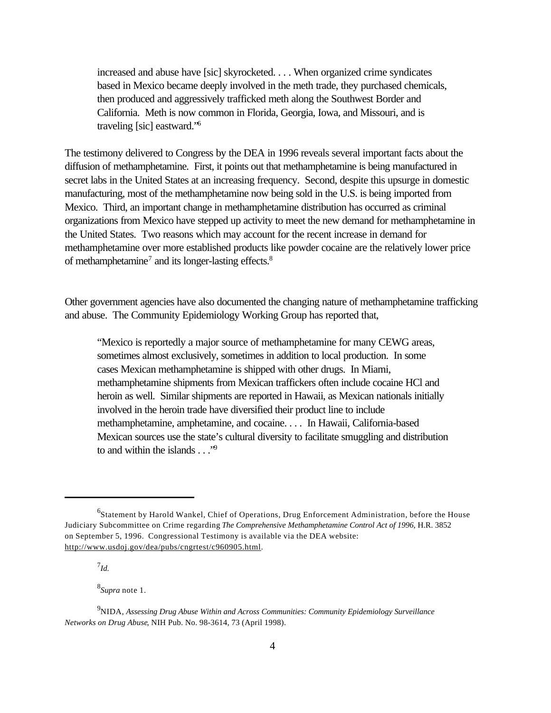increased and abuse have [sic] skyrocketed. . . . When organized crime syndicates based in Mexico became deeply involved in the meth trade, they purchased chemicals, then produced and aggressively trafficked meth along the Southwest Border and California. Meth is now common in Florida, Georgia, Iowa, and Missouri, and is traveling [sic] eastward."<sup>6</sup>

The testimony delivered to Congress by the DEA in 1996 reveals several important facts about the diffusion of methamphetamine. First, it points out that methamphetamine is being manufactured in secret labs in the United States at an increasing frequency. Second, despite this upsurge in domestic manufacturing, most of the methamphetamine now being sold in the U.S. is being imported from Mexico. Third, an important change in methamphetamine distribution has occurred as criminal organizations from Mexico have stepped up activity to meet the new demand for methamphetamine in the United States. Two reasons which may account for the recent increase in demand for methamphetamine over more established products like powder cocaine are the relatively lower price of methamphetamine<sup>7</sup> and its longer-lasting effects. $8$ 

Other government agencies have also documented the changing nature of methamphetamine trafficking and abuse. The Community Epidemiology Working Group has reported that,

"Mexico is reportedly a major source of methamphetamine for many CEWG areas, sometimes almost exclusively, sometimes in addition to local production. In some cases Mexican methamphetamine is shipped with other drugs. In Miami, methamphetamine shipments from Mexican traffickers often include cocaine HCl and heroin as well. Similar shipments are reported in Hawaii, as Mexican nationals initially involved in the heroin trade have diversified their product line to include methamphetamine, amphetamine, and cocaine. . . . In Hawaii, California-based Mexican sources use the state's cultural diversity to facilitate smuggling and distribution to and within the islands  $\ldots$ ."

8 *Supra* note 1.

<sup>&</sup>lt;sup>6</sup>Statement by Harold Wankel, Chief of Operations, Drug Enforcement Administration, before the House Judiciary Subcommittee on Crime regarding *The Comprehensive Methamphetamine Control Act of 1996*, H.R. 3852 on September 5, 1996. Congressional Testimony is available via the DEA website: http://www.usdoj.gov/dea/pubs/cngrtest/c960905.html.

<sup>7</sup> *Id.*

<sup>9</sup>NIDA, *Assessing Drug Abuse Within and Across Communities: Community Epidemiology Surveillance Networks on Drug Abuse*, NIH Pub. No. 98-3614, 73 (April 1998).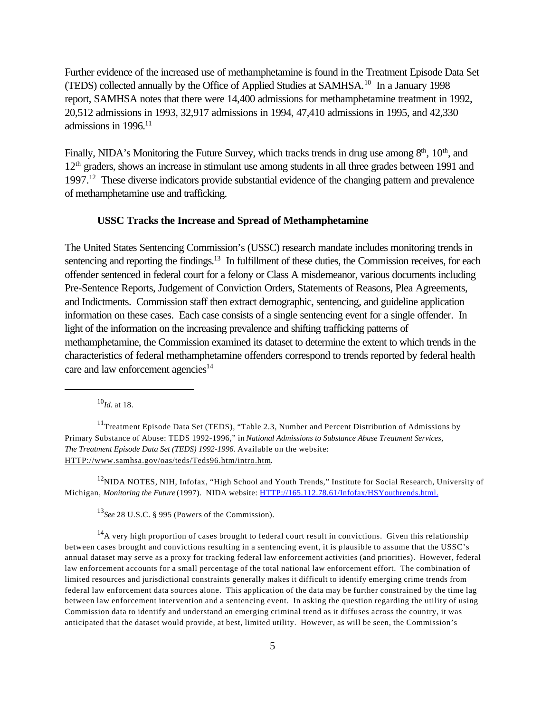Further evidence of the increased use of methamphetamine is found in the Treatment Episode Data Set (TEDS) collected annually by the Office of Applied Studies at SAMHSA.<sup>10</sup> In a January 1998 report, SAMHSA notes that there were 14,400 admissions for methamphetamine treatment in 1992, 20,512 admissions in 1993, 32,917 admissions in 1994, 47,410 admissions in 1995, and 42,330 admissions in  $1996$ .<sup>11</sup>

Finally, NIDA's Monitoring the Future Survey, which tracks trends in drug use among 8<sup>th</sup>, 10<sup>th</sup>, and 12<sup>th</sup> graders, shows an increase in stimulant use among students in all three grades between 1991 and 1997.<sup>12</sup> These diverse indicators provide substantial evidence of the changing pattern and prevalence of methamphetamine use and trafficking.

#### **USSC Tracks the Increase and Spread of Methamphetamine**

The United States Sentencing Commission's (USSC) research mandate includes monitoring trends in sentencing and reporting the findings.<sup>13</sup> In fulfillment of these duties, the Commission receives, for each offender sentenced in federal court for a felony or Class A misdemeanor, various documents including Pre-Sentence Reports, Judgement of Conviction Orders, Statements of Reasons, Plea Agreements, and Indictments. Commission staff then extract demographic, sentencing, and guideline application information on these cases. Each case consists of a single sentencing event for a single offender. In light of the information on the increasing prevalence and shifting trafficking patterns of methamphetamine, the Commission examined its dataset to determine the extent to which trends in the characteristics of federal methamphetamine offenders correspond to trends reported by federal health care and law enforcement agencies $14$ 

 $^{10}$ *Id.* at 18.

<sup>12</sup>NIDA NOTES, NIH, Infofax, "High School and Youth Trends," Institute for Social Research, University of Michigan, *Monitoring the Future* (1997). NIDA website: HTTP://165.112.78.61/Infofax/HSYouthrends.html.

<sup>13</sup>*See* 28 U.S.C. § 995 (Powers of the Commission).

 $14A$  very high proportion of cases brought to federal court result in convictions. Given this relationship between cases brought and convictions resulting in a sentencing event, it is plausible to assume that the USSC's annual dataset may serve as a proxy for tracking federal law enforcement activities (and priorities). However, federal law enforcement accounts for a small percentage of the total national law enforcement effort. The combination of limited resources and jurisdictional constraints generally makes it difficult to identify emerging crime trends from federal law enforcement data sources alone. This application of the data may be further constrained by the time lag between law enforcement intervention and a sentencing event. In asking the question regarding the utility of using Commission data to identify and understand an emerging criminal trend as it diffuses across the country, it was anticipated that the dataset would provide, at best, limited utility. However, as will be seen, the Commission's

<sup>&</sup>lt;sup>11</sup>Treatment Episode Data Set (TEDS), "Table 2.3, Number and Percent Distribution of Admissions by Primary Substance of Abuse: TEDS 1992-1996," in *National Admissions to Substance Abuse Treatment Services, The Treatment Episode Data Set (TEDS) 1992-1996.* Available on the website: HTTP://www.samhsa.gov/oas/teds/Teds96.htm/intro.htm.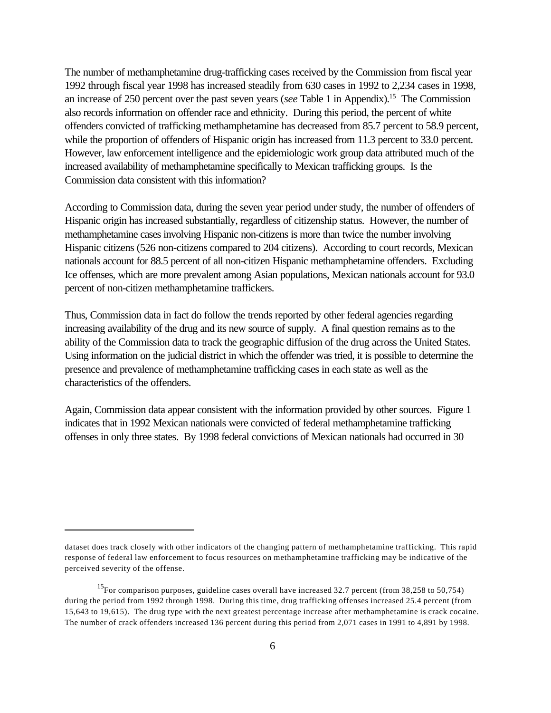The number of methamphetamine drug-trafficking cases received by the Commission from fiscal year 1992 through fiscal year 1998 has increased steadily from 630 cases in 1992 to 2,234 cases in 1998, an increase of 250 percent over the past seven years (*see* Table 1 in Appendix).<sup>15</sup> The Commission also records information on offender race and ethnicity. During this period, the percent of white offenders convicted of trafficking methamphetamine has decreased from 85.7 percent to 58.9 percent, while the proportion of offenders of Hispanic origin has increased from 11.3 percent to 33.0 percent. However, law enforcement intelligence and the epidemiologic work group data attributed much of the increased availability of methamphetamine specifically to Mexican trafficking groups. Is the Commission data consistent with this information?

According to Commission data, during the seven year period under study, the number of offenders of Hispanic origin has increased substantially, regardless of citizenship status. However, the number of methamphetamine cases involving Hispanic non-citizens is more than twice the number involving Hispanic citizens (526 non-citizens compared to 204 citizens). According to court records, Mexican nationals account for 88.5 percent of all non-citizen Hispanic methamphetamine offenders. Excluding Ice offenses, which are more prevalent among Asian populations, Mexican nationals account for 93.0 percent of non-citizen methamphetamine traffickers.

Thus, Commission data in fact do follow the trends reported by other federal agencies regarding increasing availability of the drug and its new source of supply. A final question remains as to the ability of the Commission data to track the geographic diffusion of the drug across the United States. Using information on the judicial district in which the offender was tried, it is possible to determine the presence and prevalence of methamphetamine trafficking cases in each state as well as the characteristics of the offenders.

Again, Commission data appear consistent with the information provided by other sources. Figure 1 indicates that in 1992 Mexican nationals were convicted of federal methamphetamine trafficking offenses in only three states. By 1998 federal convictions of Mexican nationals had occurred in 30

dataset does track closely with other indicators of the changing pattern of methamphetamine trafficking. This rapid response of federal law enforcement to focus resources on methamphetamine trafficking may be indicative of the perceived severity of the offense.

<sup>&</sup>lt;sup>15</sup>For comparison purposes, guideline cases overall have increased 32.7 percent (from 38,258 to 50,754) during the period from 1992 through 1998. During this time, drug trafficking offenses increased 25.4 percent (from 15,643 to 19,615). The drug type with the next greatest percentage increase after methamphetamine is crack cocaine. The number of crack offenders increased 136 percent during this period from 2,071 cases in 1991 to 4,891 by 1998.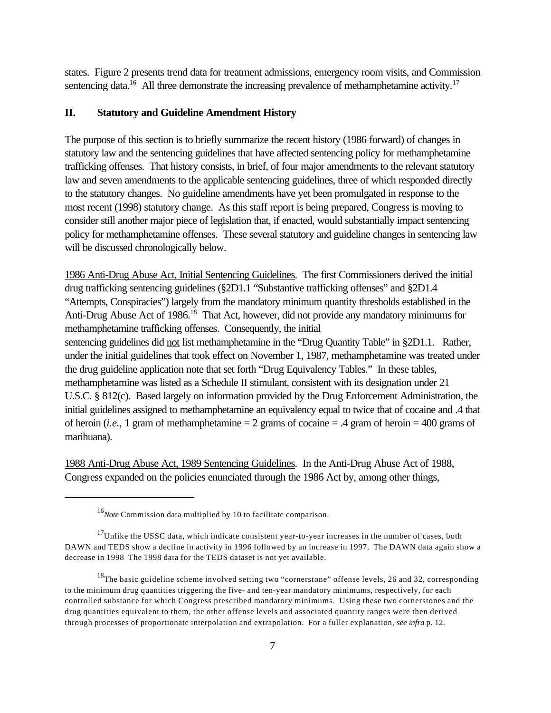states. Figure 2 presents trend data for treatment admissions, emergency room visits, and Commission sentencing data.<sup>16</sup> All three demonstrate the increasing prevalence of methamphetamine activity.<sup>17</sup>

#### **II. Statutory and Guideline Amendment History**

The purpose of this section is to briefly summarize the recent history (1986 forward) of changes in statutory law and the sentencing guidelines that have affected sentencing policy for methamphetamine trafficking offenses. That history consists, in brief, of four major amendments to the relevant statutory law and seven amendments to the applicable sentencing guidelines, three of which responded directly to the statutory changes. No guideline amendments have yet been promulgated in response to the most recent (1998) statutory change. As this staff report is being prepared, Congress is moving to consider still another major piece of legislation that, if enacted, would substantially impact sentencing policy for methamphetamine offenses. These several statutory and guideline changes in sentencing law will be discussed chronologically below.

1986 Anti-Drug Abuse Act, Initial Sentencing Guidelines. The first Commissioners derived the initial drug trafficking sentencing guidelines (§2D1.1 "Substantive trafficking offenses" and §2D1.4 "Attempts, Conspiracies") largely from the mandatory minimum quantity thresholds established in the Anti-Drug Abuse Act of 1986.<sup>18</sup> That Act, however, did not provide any mandatory minimums for methamphetamine trafficking offenses. Consequently, the initial sentencing guidelines did not list methamphetamine in the "Drug Quantity Table" in §2D1.1. Rather, under the initial guidelines that took effect on November 1, 1987, methamphetamine was treated under the drug guideline application note that set forth "Drug Equivalency Tables." In these tables, methamphetamine was listed as a Schedule II stimulant, consistent with its designation under 21 U.S.C. § 812(c). Based largely on information provided by the Drug Enforcement Administration, the initial guidelines assigned to methamphetamine an equivalency equal to twice that of cocaine and .4 that of heroin (*i.e.*, 1 gram of methamphetamine  $= 2$  grams of cocaine  $= .4$  gram of heroin  $= 400$  grams of marihuana).

1988 Anti-Drug Abuse Act, 1989 Sentencing Guidelines. In the Anti-Drug Abuse Act of 1988, Congress expanded on the policies enunciated through the 1986 Act by, among other things,

<sup>16</sup>*Note* Commission data multiplied by 10 to facilitate comparison.

 $17$ Unlike the USSC data, which indicate consistent year-to-year increases in the number of cases, both DAWN and TEDS show a decline in activity in 1996 followed by an increase in 1997. The DAWN data again show a decrease in 1998 The 1998 data for the TEDS dataset is not yet available.

 $18$ The basic guideline scheme involved setting two "cornerstone" offense levels, 26 and 32, corresponding to the minimum drug quantities triggering the five- and ten-year mandatory minimums, respectively, for each controlled substance for which Congress prescribed mandatory minimums. Using these two cornerstones and the drug quantities equivalent to them, the other offense levels and associated quantity ranges were then derived through processes of proportionate interpolation and extrapolation. For a fuller explanation, *see infra* p. 12.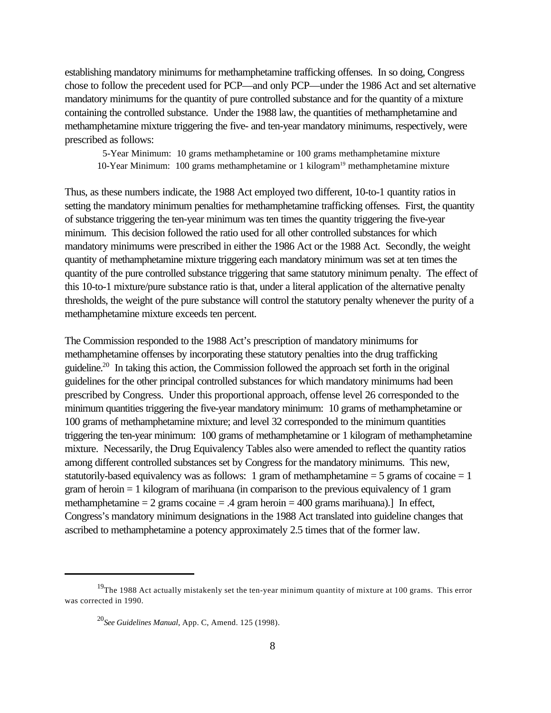establishing mandatory minimums for methamphetamine trafficking offenses. In so doing, Congress chose to follow the precedent used for PCP—and only PCP—under the 1986 Act and set alternative mandatory minimums for the quantity of pure controlled substance and for the quantity of a mixture containing the controlled substance. Under the 1988 law, the quantities of methamphetamine and methamphetamine mixture triggering the five- and ten-year mandatory minimums, respectively, were prescribed as follows:

 5-Year Minimum: 10 grams methamphetamine or 100 grams methamphetamine mixture 10-Year Minimum: 100 grams methamphetamine or 1 kilogram<sup>19</sup> methamphetamine mixture

Thus, as these numbers indicate, the 1988 Act employed two different, 10-to-1 quantity ratios in setting the mandatory minimum penalties for methamphetamine trafficking offenses. First, the quantity of substance triggering the ten-year minimum was ten times the quantity triggering the five-year minimum. This decision followed the ratio used for all other controlled substances for which mandatory minimums were prescribed in either the 1986 Act or the 1988 Act. Secondly, the weight quantity of methamphetamine mixture triggering each mandatory minimum was set at ten times the quantity of the pure controlled substance triggering that same statutory minimum penalty. The effect of this 10-to-1 mixture/pure substance ratio is that, under a literal application of the alternative penalty thresholds, the weight of the pure substance will control the statutory penalty whenever the purity of a methamphetamine mixture exceeds ten percent.

The Commission responded to the 1988 Act's prescription of mandatory minimums for methamphetamine offenses by incorporating these statutory penalties into the drug trafficking guideline.<sup>20</sup> In taking this action, the Commission followed the approach set forth in the original guidelines for the other principal controlled substances for which mandatory minimums had been prescribed by Congress. Under this proportional approach, offense level 26 corresponded to the minimum quantities triggering the five-year mandatory minimum: 10 grams of methamphetamine or 100 grams of methamphetamine mixture; and level 32 corresponded to the minimum quantities triggering the ten-year minimum: 100 grams of methamphetamine or 1 kilogram of methamphetamine mixture. Necessarily, the Drug Equivalency Tables also were amended to reflect the quantity ratios among different controlled substances set by Congress for the mandatory minimums. This new, statutorily-based equivalency was as follows: 1 gram of methamphetamine  $=$  5 grams of cocaine  $=$  1 gram of heroin = 1 kilogram of marihuana (in comparison to the previous equivalency of 1 gram methamphetamine  $= 2$  grams cocaine  $= .4$  gram heroin  $= 400$  grams marihuana). In effect, Congress's mandatory minimum designations in the 1988 Act translated into guideline changes that ascribed to methamphetamine a potency approximately 2.5 times that of the former law.

 $19$ The 1988 Act actually mistakenly set the ten-year minimum quantity of mixture at 100 grams. This error was corrected in 1990.

<sup>20</sup>*See Guidelines Manual*, App. C, Amend. 125 (1998).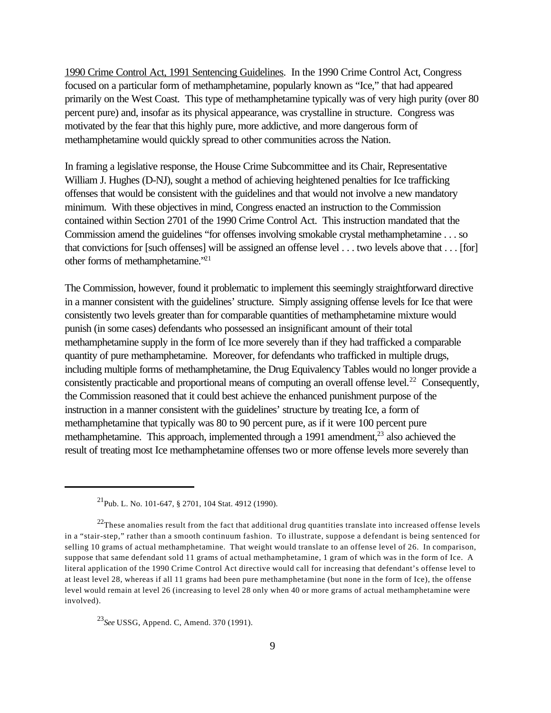1990 Crime Control Act, 1991 Sentencing Guidelines. In the 1990 Crime Control Act, Congress focused on a particular form of methamphetamine, popularly known as "Ice," that had appeared primarily on the West Coast. This type of methamphetamine typically was of very high purity (over 80 percent pure) and, insofar as its physical appearance, was crystalline in structure. Congress was motivated by the fear that this highly pure, more addictive, and more dangerous form of methamphetamine would quickly spread to other communities across the Nation.

In framing a legislative response, the House Crime Subcommittee and its Chair, Representative William J. Hughes (D-NJ), sought a method of achieving heightened penalties for Ice trafficking offenses that would be consistent with the guidelines and that would not involve a new mandatory minimum. With these objectives in mind, Congress enacted an instruction to the Commission contained within Section 2701 of the 1990 Crime Control Act. This instruction mandated that the Commission amend the guidelines "for offenses involving smokable crystal methamphetamine . . . so that convictions for [such offenses] will be assigned an offense level . . . two levels above that . . . [for] other forms of methamphetamine."<sup>21</sup>

The Commission, however, found it problematic to implement this seemingly straightforward directive in a manner consistent with the guidelines' structure. Simply assigning offense levels for Ice that were consistently two levels greater than for comparable quantities of methamphetamine mixture would punish (in some cases) defendants who possessed an insignificant amount of their total methamphetamine supply in the form of Ice more severely than if they had trafficked a comparable quantity of pure methamphetamine. Moreover, for defendants who trafficked in multiple drugs, including multiple forms of methamphetamine, the Drug Equivalency Tables would no longer provide a consistently practicable and proportional means of computing an overall offense level.<sup>22</sup> Consequently, the Commission reasoned that it could best achieve the enhanced punishment purpose of the instruction in a manner consistent with the guidelines' structure by treating Ice, a form of methamphetamine that typically was 80 to 90 percent pure, as if it were 100 percent pure methamphetamine. This approach, implemented through a 1991 amendment,<sup>23</sup> also achieved the result of treating most Ice methamphetamine offenses two or more offense levels more severely than

<sup>&</sup>lt;sup>21</sup>Pub. L. No. 101-647, § 2701, 104 Stat. 4912 (1990).

 $22$ These anomalies result from the fact that additional drug quantities translate into increased offense levels in a "stair-step," rather than a smooth continuum fashion. To illustrate, suppose a defendant is being sentenced for selling 10 grams of actual methamphetamine. That weight would translate to an offense level of 26. In comparison, suppose that same defendant sold 11 grams of actual methamphetamine, 1 gram of which was in the form of Ice. A literal application of the 1990 Crime Control Act directive would call for increasing that defendant's offense level to at least level 28, whereas if all 11 grams had been pure methamphetamine (but none in the form of Ice), the offense level would remain at level 26 (increasing to level 28 only when 40 or more grams of actual methamphetamine were involved).

<sup>23</sup>*See* USSG, Append. C, Amend. 370 (1991).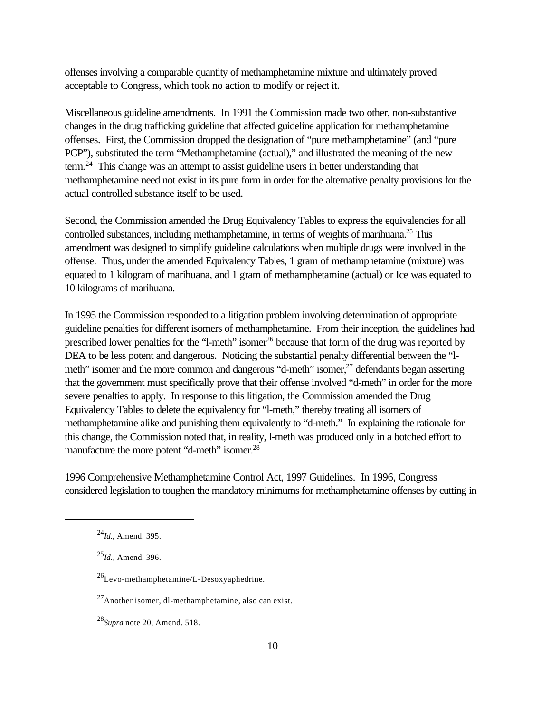offenses involving a comparable quantity of methamphetamine mixture and ultimately proved acceptable to Congress, which took no action to modify or reject it.

Miscellaneous guideline amendments. In 1991 the Commission made two other, non-substantive changes in the drug trafficking guideline that affected guideline application for methamphetamine offenses. First, the Commission dropped the designation of "pure methamphetamine" (and "pure PCP"), substituted the term "Methamphetamine (actual)," and illustrated the meaning of the new term.<sup>24</sup> This change was an attempt to assist guideline users in better understanding that methamphetamine need not exist in its pure form in order for the alternative penalty provisions for the actual controlled substance itself to be used.

Second, the Commission amended the Drug Equivalency Tables to express the equivalencies for all controlled substances, including methamphetamine, in terms of weights of marihuana.<sup>25</sup> This amendment was designed to simplify guideline calculations when multiple drugs were involved in the offense. Thus, under the amended Equivalency Tables, 1 gram of methamphetamine (mixture) was equated to 1 kilogram of marihuana, and 1 gram of methamphetamine (actual) or Ice was equated to 10 kilograms of marihuana.

In 1995 the Commission responded to a litigation problem involving determination of appropriate guideline penalties for different isomers of methamphetamine. From their inception, the guidelines had prescribed lower penalties for the "l-meth" isomer<sup>26</sup> because that form of the drug was reported by DEA to be less potent and dangerous. Noticing the substantial penalty differential between the "lmeth" isomer and the more common and dangerous "d-meth" isomer,<sup>27</sup> defendants began asserting that the government must specifically prove that their offense involved "d-meth" in order for the more severe penalties to apply. In response to this litigation, the Commission amended the Drug Equivalency Tables to delete the equivalency for "l-meth," thereby treating all isomers of methamphetamine alike and punishing them equivalently to "d-meth." In explaining the rationale for this change, the Commission noted that, in reality, l-meth was produced only in a botched effort to manufacture the more potent "d-meth" isomer.<sup>28</sup>

1996 Comprehensive Methamphetamine Control Act, 1997 Guidelines. In 1996, Congress considered legislation to toughen the mandatory minimums for methamphetamine offenses by cutting in

<sup>24</sup>*Id.*, Amend. 395.

<sup>25</sup>*Id*., Amend. 396.

 $^{26}$ Levo-methamphetamine/L-Desoxyaphedrine.

 $^{27}$ Another isomer, dl-methamphetamine, also can exist.

<sup>28</sup>*Supra* note 20, Amend. 518.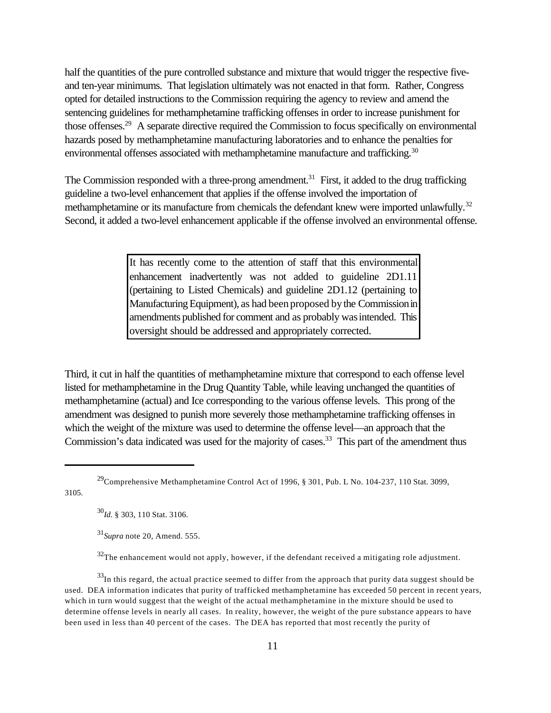half the quantities of the pure controlled substance and mixture that would trigger the respective fiveand ten-year minimums. That legislation ultimately was not enacted in that form. Rather, Congress opted for detailed instructions to the Commission requiring the agency to review and amend the sentencing guidelines for methamphetamine trafficking offenses in order to increase punishment for those offenses.<sup>29</sup> A separate directive required the Commission to focus specifically on environmental hazards posed by methamphetamine manufacturing laboratories and to enhance the penalties for environmental offenses associated with methamphetamine manufacture and trafficking.<sup>30</sup>

The Commission responded with a three-prong amendment.<sup>31</sup> First, it added to the drug trafficking guideline a two-level enhancement that applies if the offense involved the importation of methamphetamine or its manufacture from chemicals the defendant knew were imported unlawfully.<sup>32</sup> Second, it added a two-level enhancement applicable if the offense involved an environmental offense.

> It has recently come to the attention of staff that this environmental enhancement inadvertently was not added to guideline 2D1.11 (pertaining to Listed Chemicals) and guideline 2D1.12 (pertaining to Manufacturing Equipment), as had been proposed by the Commission in amendments published for comment and as probably wasintended. This oversight should be addressed and appropriately corrected.

Third, it cut in half the quantities of methamphetamine mixture that correspond to each offense level listed for methamphetamine in the Drug Quantity Table, while leaving unchanged the quantities of methamphetamine (actual) and Ice corresponding to the various offense levels. This prong of the amendment was designed to punish more severely those methamphetamine trafficking offenses in which the weight of the mixture was used to determine the offense level—an approach that the Commission's data indicated was used for the majority of cases.<sup>33</sup> This part of the amendment thus

3105.

<sup>30</sup>*Id*. § 303, 110 Stat. 3106.

<sup>31</sup>*Supra* note 20, Amend. 555.

 $32$ The enhancement would not apply, however, if the defendant received a mitigating role adjustment.

 $33$ In this regard, the actual practice seemed to differ from the approach that purity data suggest should be used. DEA information indicates that purity of trafficked methamphetamine has exceeded 50 percent in recent years, which in turn would suggest that the weight of the actual methamphetamine in the mixture should be used to determine offense levels in nearly all cases. In reality, however, the weight of the pure substance appears to have been used in less than 40 percent of the cases. The DEA has reported that most recently the purity of

<sup>&</sup>lt;sup>29</sup>Comprehensive Methamphetamine Control Act of 1996, § 301, Pub. L No. 104-237, 110 Stat. 3099,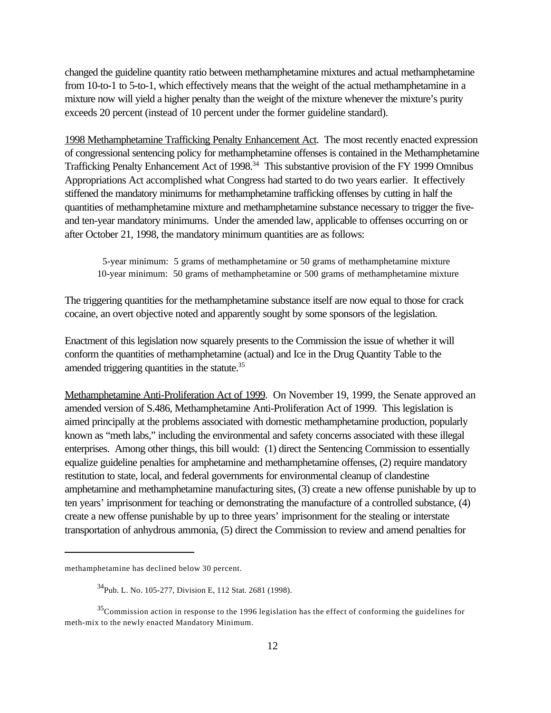changed the guideline quantity ratio between methamphetamine mixtures and actual methamphetamine from 10-to-1 to 5-to-1, which effectively means that the weight of the actual methamphetamine in a mixture now will yield a higher penalty than the weight of the mixture whenever the mixture's purity exceeds 20 percent (instead of 10 percent under the former guideline standard).

1998 Methamphetamine Trafficking Penalty Enhancement Act. The most recently enacted expression of congressional sentencing policy for methamphetamine offenses is contained in the Methamphetamine Trafficking Penalty Enhancement Act of 1998.<sup>34</sup> This substantive provision of the FY 1999 Omnibus Appropriations Act accomplished what Congress had started to do two years earlier. It effectively stiffened the mandatory minimums for methamphetamine trafficking offenses by cutting in half the quantities of methamphetamine mixture and methamphetamine substance necessary to trigger the fiveand ten-year mandatory minimums. Under the amended law, applicable to offenses occurring on or after October 21, 1998, the mandatory minimum quantities are as follows:

 5-year minimum: 5 grams of methamphetamine or 50 grams of methamphetamine mixture 10-year minimum: 50 grams of methamphetamine or 500 grams of methamphetamine mixture

The triggering quantities for the methamphetamine substance itself are now equal to those for crack cocaine, an overt objective noted and apparently sought by some sponsors of the legislation.

Enactment of this legislation now squarely presents to the Commission the issue of whether it will conform the quantities of methamphetamine (actual) and Ice in the Drug Quantity Table to the amended triggering quantities in the statute.<sup>35</sup>

Methamphetamine Anti-Proliferation Act of 1999. On November 19, 1999, the Senate approved an amended version of S.486, Methamphetamine Anti-Proliferation Act of 1999. This legislation is aimed principally at the problems associated with domestic methamphetamine production, popularly known as "meth labs," including the environmental and safety concerns associated with these illegal enterprises. Among other things, this bill would: (1) direct the Sentencing Commission to essentially equalize guideline penalties for amphetamine and methamphetamine offenses, (2) require mandatory restitution to state, local, and federal governments for environmental cleanup of clandestine amphetamine and methamphetamine manufacturing sites, (3) create a new offense punishable by up to ten years' imprisonment for teaching or demonstrating the manufacture of a controlled substance, (4) create a new offense punishable by up to three years' imprisonment for the stealing or interstate transportation of anhydrous ammonia, (5) direct the Commission to review and amend penalties for

methamphetamine has declined below 30 percent.

<sup>34</sup>Pub. L. No. 105-277, Division E, 112 Stat. 2681 (1998).

 $35$ Commission action in response to the 1996 legislation has the effect of conforming the guidelines for meth-mix to the newly enacted Mandatory Minimum.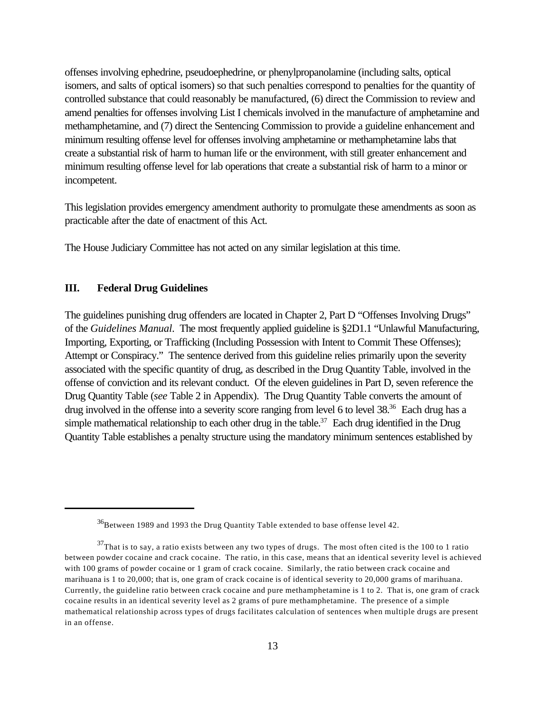offenses involving ephedrine, pseudoephedrine, or phenylpropanolamine (including salts, optical isomers, and salts of optical isomers) so that such penalties correspond to penalties for the quantity of controlled substance that could reasonably be manufactured, (6) direct the Commission to review and amend penalties for offenses involving List I chemicals involved in the manufacture of amphetamine and methamphetamine, and (7) direct the Sentencing Commission to provide a guideline enhancement and minimum resulting offense level for offenses involving amphetamine or methamphetamine labs that create a substantial risk of harm to human life or the environment, with still greater enhancement and minimum resulting offense level for lab operations that create a substantial risk of harm to a minor or incompetent.

This legislation provides emergency amendment authority to promulgate these amendments as soon as practicable after the date of enactment of this Act.

The House Judiciary Committee has not acted on any similar legislation at this time.

#### **III. Federal Drug Guidelines**

The guidelines punishing drug offenders are located in Chapter 2, Part D "Offenses Involving Drugs" of the *Guidelines Manual*. The most frequently applied guideline is §2D1.1 "Unlawful Manufacturing, Importing, Exporting, or Trafficking (Including Possession with Intent to Commit These Offenses); Attempt or Conspiracy." The sentence derived from this guideline relies primarily upon the severity associated with the specific quantity of drug, as described in the Drug Quantity Table, involved in the offense of conviction and its relevant conduct. Of the eleven guidelines in Part D, seven reference the Drug Quantity Table (*see* Table 2 in Appendix). The Drug Quantity Table converts the amount of drug involved in the offense into a severity score ranging from level 6 to level 38.<sup>36</sup> Each drug has a simple mathematical relationship to each other drug in the table.<sup>37</sup> Each drug identified in the Drug Quantity Table establishes a penalty structure using the mandatory minimum sentences established by

 $36B$ Between 1989 and 1993 the Drug Quantity Table extended to base offense level 42.

 $37$ That is to say, a ratio exists between any two types of drugs. The most often cited is the 100 to 1 ratio between powder cocaine and crack cocaine. The ratio, in this case, means that an identical severity level is achieved with 100 grams of powder cocaine or 1 gram of crack cocaine. Similarly, the ratio between crack cocaine and marihuana is 1 to 20,000; that is, one gram of crack cocaine is of identical severity to 20,000 grams of marihuana. Currently, the guideline ratio between crack cocaine and pure methamphetamine is 1 to 2. That is, one gram of crack cocaine results in an identical severity level as 2 grams of pure methamphetamine. The presence of a simple mathematical relationship across types of drugs facilitates calculation of sentences when multiple drugs are present in an offense.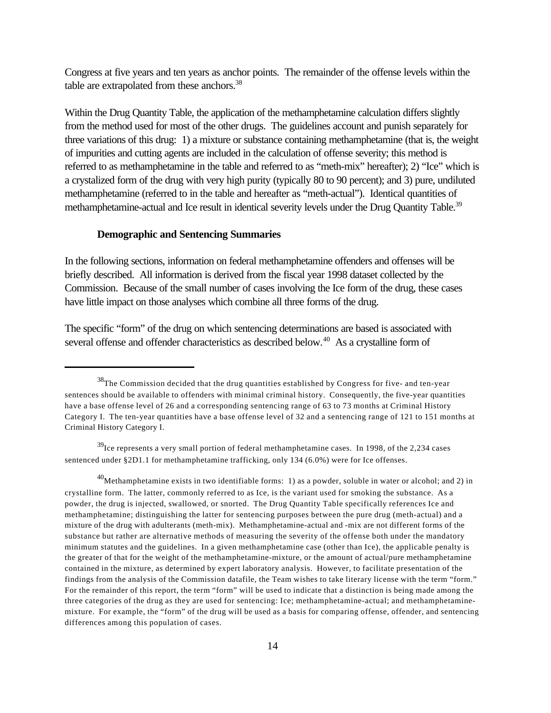Congress at five years and ten years as anchor points. The remainder of the offense levels within the table are extrapolated from these anchors.<sup>38</sup>

Within the Drug Quantity Table, the application of the methamphetamine calculation differs slightly from the method used for most of the other drugs. The guidelines account and punish separately for three variations of this drug: 1) a mixture or substance containing methamphetamine (that is, the weight of impurities and cutting agents are included in the calculation of offense severity; this method is referred to as methamphetamine in the table and referred to as "meth-mix" hereafter); 2) "Ice" which is a crystalized form of the drug with very high purity (typically 80 to 90 percent); and 3) pure, undiluted methamphetamine (referred to in the table and hereafter as "meth-actual"). Identical quantities of methamphetamine-actual and Ice result in identical severity levels under the Drug Quantity Table.<sup>39</sup>

#### **Demographic and Sentencing Summaries**

In the following sections, information on federal methamphetamine offenders and offenses will be briefly described. All information is derived from the fiscal year 1998 dataset collected by the Commission. Because of the small number of cases involving the Ice form of the drug, these cases have little impact on those analyses which combine all three forms of the drug.

The specific "form" of the drug on which sentencing determinations are based is associated with several offense and offender characteristics as described below.<sup>40</sup> As a crystalline form of

<sup>&</sup>lt;sup>38</sup>The Commission decided that the drug quantities established by Congress for five- and ten-year sentences should be available to offenders with minimal criminal history. Consequently, the five-year quantities have a base offense level of 26 and a corresponding sentencing range of 63 to 73 months at Criminal History Category I. The ten-year quantities have a base offense level of 32 and a sentencing range of 121 to 151 months at Criminal History Category I.

 $39$ Ice represents a very small portion of federal methamphetamine cases. In 1998, of the 2,234 cases sentenced under §2D1.1 for methamphetamine trafficking, only 134 (6.0%) were for Ice offenses.

 $^{40}$ Methamphetamine exists in two identifiable forms: 1) as a powder, soluble in water or alcohol; and 2) in crystalline form. The latter, commonly referred to as Ice, is the variant used for smoking the substance. As a powder, the drug is injected, swallowed, or snorted. The Drug Quantity Table specifically references Ice and methamphetamine; distinguishing the latter for sentencing purposes between the pure drug (meth-actual) and a mixture of the drug with adulterants (meth-mix). Methamphetamine-actual and -mix are not different forms of the substance but rather are alternative methods of measuring the severity of the offense both under the mandatory minimum statutes and the guidelines. In a given methamphetamine case (other than Ice), the applicable penalty is the greater of that for the weight of the methamphetamine-mixture, or the amount of actual/pure methamphetamine contained in the mixture, as determined by expert laboratory analysis. However, to facilitate presentation of the findings from the analysis of the Commission datafile, the Team wishes to take literary license with the term "form." For the remainder of this report, the term "form" will be used to indicate that a distinction is being made among the three categories of the drug as they are used for sentencing: Ice; methamphetamine-actual; and methamphetaminemixture. For example, the "form" of the drug will be used as a basis for comparing offense, offender, and sentencing differences among this population of cases.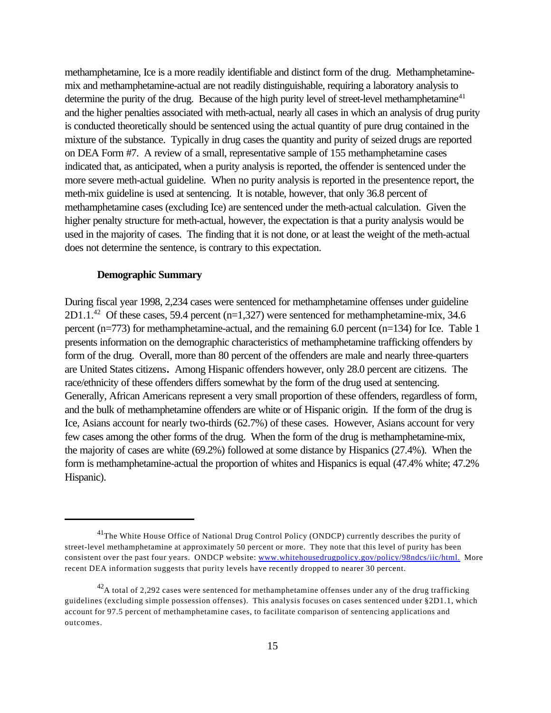methamphetamine, Ice is a more readily identifiable and distinct form of the drug. Methamphetaminemix and methamphetamine-actual are not readily distinguishable, requiring a laboratory analysis to determine the purity of the drug. Because of the high purity level of street-level methamphetamine<sup>41</sup> and the higher penalties associated with meth-actual, nearly all cases in which an analysis of drug purity is conducted theoretically should be sentenced using the actual quantity of pure drug contained in the mixture of the substance. Typically in drug cases the quantity and purity of seized drugs are reported on DEA Form #7. A review of a small, representative sample of 155 methamphetamine cases indicated that, as anticipated, when a purity analysis is reported, the offender is sentenced under the more severe meth-actual guideline. When no purity analysis is reported in the presentence report, the meth-mix guideline is used at sentencing. It is notable, however, that only 36.8 percent of methamphetamine cases (excluding Ice) are sentenced under the meth-actual calculation. Given the higher penalty structure for meth-actual, however, the expectation is that a purity analysis would be used in the majority of cases. The finding that it is not done, or at least the weight of the meth-actual does not determine the sentence, is contrary to this expectation.

#### **Demographic Summary**

During fiscal year 1998, 2,234 cases were sentenced for methamphetamine offenses under guideline  $2D1.1.^{42}$  Of these cases, 59.4 percent (n=1,327) were sentenced for methamphetamine-mix, 34.6 percent (n=773) for methamphetamine-actual, and the remaining 6.0 percent (n=134) for Ice. Table 1 presents information on the demographic characteristics of methamphetamine trafficking offenders by form of the drug. Overall, more than 80 percent of the offenders are male and nearly three-quarters are United States citizens**.** Among Hispanic offenders however, only 28.0 percent are citizens. The race/ethnicity of these offenders differs somewhat by the form of the drug used at sentencing. Generally, African Americans represent a very small proportion of these offenders, regardless of form, and the bulk of methamphetamine offenders are white or of Hispanic origin. If the form of the drug is Ice, Asians account for nearly two-thirds (62.7%) of these cases. However, Asians account for very few cases among the other forms of the drug. When the form of the drug is methamphetamine-mix, the majority of cases are white (69.2%) followed at some distance by Hispanics (27.4%). When the form is methamphetamine-actual the proportion of whites and Hispanics is equal (47.4% white; 47.2% Hispanic).

<sup>&</sup>lt;sup>41</sup>The White House Office of National Drug Control Policy (ONDCP) currently describes the purity of street-level methamphetamine at approximately 50 percent or more. They note that this level of purity has been consistent over the past four years. ONDCP website: www.whitehousedrugpolicy.gov/policy/98ndcs/iic/html. More recent DEA information suggests that purity levels have recently dropped to nearer 30 percent.

 $^{42}$ A total of 2,292 cases were sentenced for methamphetamine offenses under any of the drug trafficking guidelines (excluding simple possession offenses). This analysis focuses on cases sentenced under §2D1.1, which account for 97.5 percent of methamphetamine cases, to facilitate comparison of sentencing applications and outcomes.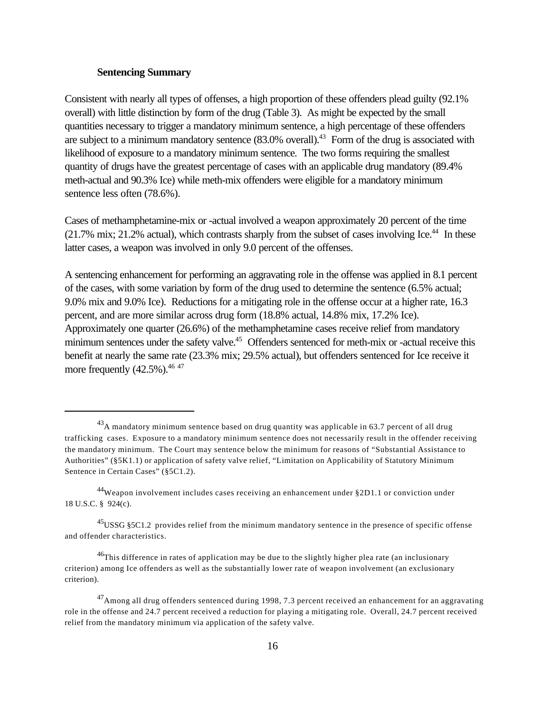#### **Sentencing Summary**

Consistent with nearly all types of offenses, a high proportion of these offenders plead guilty (92.1% overall) with little distinction by form of the drug (Table 3). As might be expected by the small quantities necessary to trigger a mandatory minimum sentence, a high percentage of these offenders are subject to a minimum mandatory sentence  $(83.0\%$  overall).<sup>43</sup> Form of the drug is associated with likelihood of exposure to a mandatory minimum sentence. The two forms requiring the smallest quantity of drugs have the greatest percentage of cases with an applicable drug mandatory (89.4% meth-actual and 90.3% Ice) while meth-mix offenders were eligible for a mandatory minimum sentence less often (78.6%).

Cases of methamphetamine-mix or -actual involved a weapon approximately 20 percent of the time  $(21.7\% \text{ mix}; 21.2\% \text{ actual})$ , which contrasts sharply from the subset of cases involving Ice.<sup>44</sup> In these latter cases, a weapon was involved in only 9.0 percent of the offenses.

A sentencing enhancement for performing an aggravating role in the offense was applied in 8.1 percent of the cases, with some variation by form of the drug used to determine the sentence (6.5% actual; 9.0% mix and 9.0% Ice). Reductions for a mitigating role in the offense occur at a higher rate, 16.3 percent, and are more similar across drug form (18.8% actual, 14.8% mix, 17.2% Ice). Approximately one quarter (26.6%) of the methamphetamine cases receive relief from mandatory minimum sentences under the safety valve.<sup>45</sup> Offenders sentenced for meth-mix or -actual receive this benefit at nearly the same rate (23.3% mix; 29.5% actual), but offenders sentenced for Ice receive it more frequently  $(42.5\%)$ . <sup>46 47</sup>

 $^{43}$ A mandatory minimum sentence based on drug quantity was applicable in 63.7 percent of all drug trafficking cases. Exposure to a mandatory minimum sentence does not necessarily result in the offender receiving the mandatory minimum. The Court may sentence below the minimum for reasons of "Substantial Assistance to Authorities" (§5K1.1) or application of safety valve relief, "Limitation on Applicability of Statutory Minimum Sentence in Certain Cases" (§5C1.2).

<sup>44</sup>Weapon involvement includes cases receiving an enhancement under §2D1.1 or conviction under 18 U.S.C. § 924(c).

<sup>&</sup>lt;sup>45</sup>USSG §5C1.2 provides relief from the minimum mandatory sentence in the presence of specific offense and offender characteristics.

<sup>&</sup>lt;sup>46</sup>This difference in rates of application may be due to the slightly higher plea rate (an inclusionary criterion) among Ice offenders as well as the substantially lower rate of weapon involvement (an exclusionary criterion).

 $^{47}$ Among all drug offenders sentenced during 1998, 7.3 percent received an enhancement for an aggravating role in the offense and 24.7 percent received a reduction for playing a mitigating role. Overall, 24.7 percent received relief from the mandatory minimum via application of the safety valve.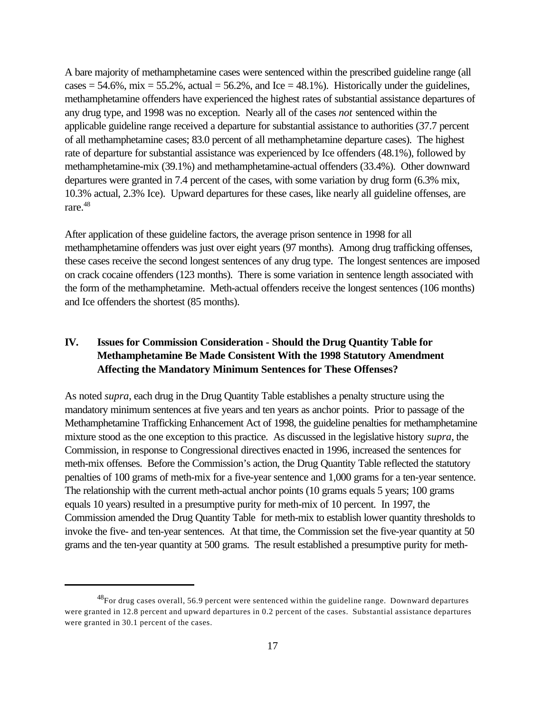A bare majority of methamphetamine cases were sentenced within the prescribed guideline range (all cases  $= 54.6\%$ , mix  $= 55.2\%$ , actual  $= 56.2\%$ , and Ice  $= 48.1\%$ ). Historically under the guidelines, methamphetamine offenders have experienced the highest rates of substantial assistance departures of any drug type, and 1998 was no exception. Nearly all of the cases *not* sentenced within the applicable guideline range received a departure for substantial assistance to authorities (37.7 percent of all methamphetamine cases; 83.0 percent of all methamphetamine departure cases). The highest rate of departure for substantial assistance was experienced by Ice offenders (48.1%), followed by methamphetamine-mix (39.1%) and methamphetamine-actual offenders (33.4%). Other downward departures were granted in 7.4 percent of the cases, with some variation by drug form (6.3% mix, 10.3% actual, 2.3% Ice). Upward departures for these cases, like nearly all guideline offenses, are rare.<sup>48</sup>

After application of these guideline factors, the average prison sentence in 1998 for all methamphetamine offenders was just over eight years (97 months). Among drug trafficking offenses, these cases receive the second longest sentences of any drug type. The longest sentences are imposed on crack cocaine offenders (123 months). There is some variation in sentence length associated with the form of the methamphetamine. Meth-actual offenders receive the longest sentences (106 months) and Ice offenders the shortest (85 months).

## **IV. Issues for Commission Consideration - Should the Drug Quantity Table for Methamphetamine Be Made Consistent With the 1998 Statutory Amendment Affecting the Mandatory Minimum Sentences for These Offenses?**

As noted *supra*, each drug in the Drug Quantity Table establishes a penalty structure using the mandatory minimum sentences at five years and ten years as anchor points. Prior to passage of the Methamphetamine Trafficking Enhancement Act of 1998, the guideline penalties for methamphetamine mixture stood as the one exception to this practice. As discussed in the legislative history *supra*, the Commission, in response to Congressional directives enacted in 1996, increased the sentences for meth-mix offenses. Before the Commission's action, the Drug Quantity Table reflected the statutory penalties of 100 grams of meth-mix for a five-year sentence and 1,000 grams for a ten-year sentence. The relationship with the current meth-actual anchor points (10 grams equals 5 years; 100 grams equals 10 years) resulted in a presumptive purity for meth-mix of 10 percent. In 1997, the Commission amended the Drug Quantity Table for meth-mix to establish lower quantity thresholds to invoke the five- and ten-year sentences. At that time, the Commission set the five-year quantity at 50 grams and the ten-year quantity at 500 grams. The result established a presumptive purity for meth-

 $^{48}$ For drug cases overall, 56.9 percent were sentenced within the guideline range. Downward departures were granted in 12.8 percent and upward departures in 0.2 percent of the cases. Substantial assistance departures were granted in 30.1 percent of the cases.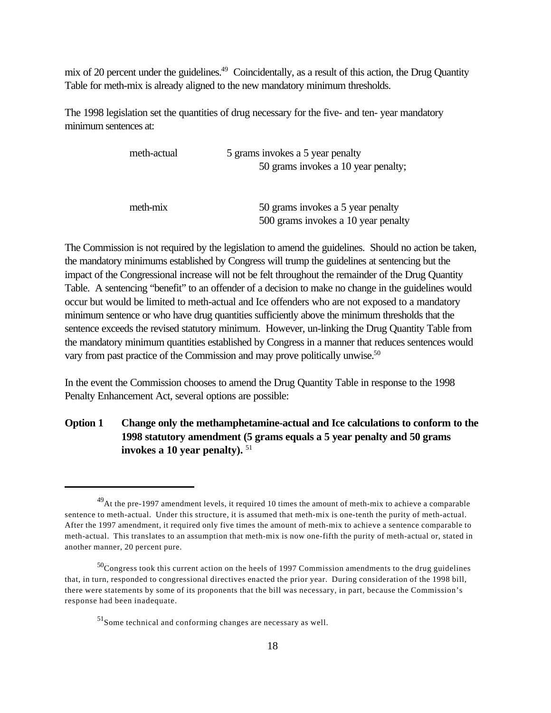mix of 20 percent under the guidelines.<sup>49</sup> Coincidentally, as a result of this action, the Drug Quantity Table for meth-mix is already aligned to the new mandatory minimum thresholds.

The 1998 legislation set the quantities of drug necessary for the five- and ten-year mandatory minimum sentences at:

| meth-actual | 5 grams invokes a 5 year penalty    |
|-------------|-------------------------------------|
|             | 50 grams invokes a 10 year penalty; |
|             |                                     |
| meth-mix    | 50 grams invokes a 5 year penalty   |
|             | 500 grams invokes a 10 year penalty |

The Commission is not required by the legislation to amend the guidelines. Should no action be taken, the mandatory minimums established by Congress will trump the guidelines at sentencing but the impact of the Congressional increase will not be felt throughout the remainder of the Drug Quantity Table. A sentencing "benefit" to an offender of a decision to make no change in the guidelines would occur but would be limited to meth-actual and Ice offenders who are not exposed to a mandatory minimum sentence or who have drug quantities sufficiently above the minimum thresholds that the sentence exceeds the revised statutory minimum. However, un-linking the Drug Quantity Table from the mandatory minimum quantities established by Congress in a manner that reduces sentences would vary from past practice of the Commission and may prove politically unwise.<sup>50</sup>

In the event the Commission chooses to amend the Drug Quantity Table in response to the 1998 Penalty Enhancement Act, several options are possible:

**Option 1 Change only the methamphetamine-actual and Ice calculations to conform to the 1998 statutory amendment (5 grams equals a 5 year penalty and 50 grams invokes a 10 year penalty).** <sup>51</sup>

 $^{49}$ At the pre-1997 amendment levels, it required 10 times the amount of meth-mix to achieve a comparable sentence to meth-actual. Under this structure, it is assumed that meth-mix is one-tenth the purity of meth-actual. After the 1997 amendment, it required only five times the amount of meth-mix to achieve a sentence comparable to meth-actual. This translates to an assumption that meth-mix is now one-fifth the purity of meth-actual or, stated in another manner, 20 percent pure.

 $50$ Congress took this current action on the heels of 1997 Commission amendments to the drug guidelines that, in turn, responded to congressional directives enacted the prior year. During consideration of the 1998 bill, there were statements by some of its proponents that the bill was necessary, in part, because the Commission's response had been inadequate.

<sup>51</sup>Some technical and conforming changes are necessary as well.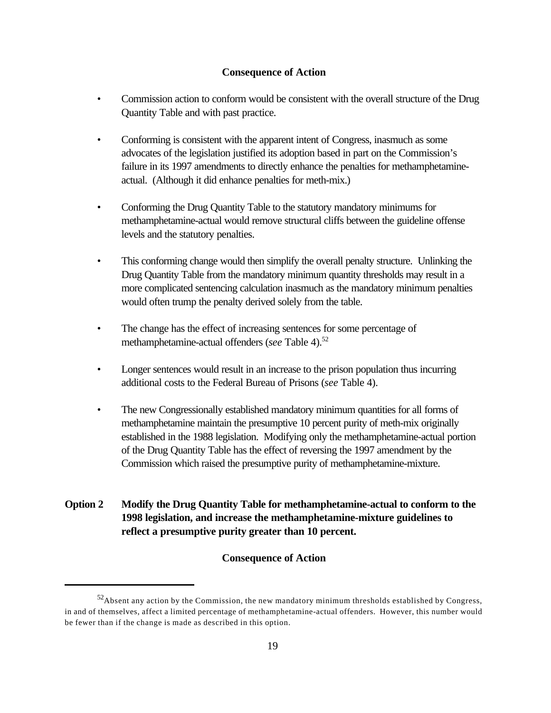## **Consequence of Action**

- Commission action to conform would be consistent with the overall structure of the Drug Quantity Table and with past practice.
- Conforming is consistent with the apparent intent of Congress, inasmuch as some advocates of the legislation justified its adoption based in part on the Commission's failure in its 1997 amendments to directly enhance the penalties for methamphetamineactual. (Although it did enhance penalties for meth-mix.)
- Conforming the Drug Quantity Table to the statutory mandatory minimums for methamphetamine-actual would remove structural cliffs between the guideline offense levels and the statutory penalties.
- This conforming change would then simplify the overall penalty structure. Unlinking the Drug Quantity Table from the mandatory minimum quantity thresholds may result in a more complicated sentencing calculation inasmuch as the mandatory minimum penalties would often trump the penalty derived solely from the table.
- The change has the effect of increasing sentences for some percentage of methamphetamine-actual offenders (*see* Table 4).<sup>52</sup>
- Longer sentences would result in an increase to the prison population thus incurring additional costs to the Federal Bureau of Prisons (*see* Table 4).
- The new Congressionally established mandatory minimum quantities for all forms of methamphetamine maintain the presumptive 10 percent purity of meth-mix originally established in the 1988 legislation. Modifying only the methamphetamine-actual portion of the Drug Quantity Table has the effect of reversing the 1997 amendment by the Commission which raised the presumptive purity of methamphetamine-mixture.
- **Option 2 Modify the Drug Quantity Table for methamphetamine-actual to conform to the 1998 legislation, and increase the methamphetamine-mixture guidelines to reflect a presumptive purity greater than 10 percent.**

## **Consequence of Action**

 $52A$ bsent any action by the Commission, the new mandatory minimum thresholds established by Congress, in and of themselves, affect a limited percentage of methamphetamine-actual offenders. However, this number would be fewer than if the change is made as described in this option.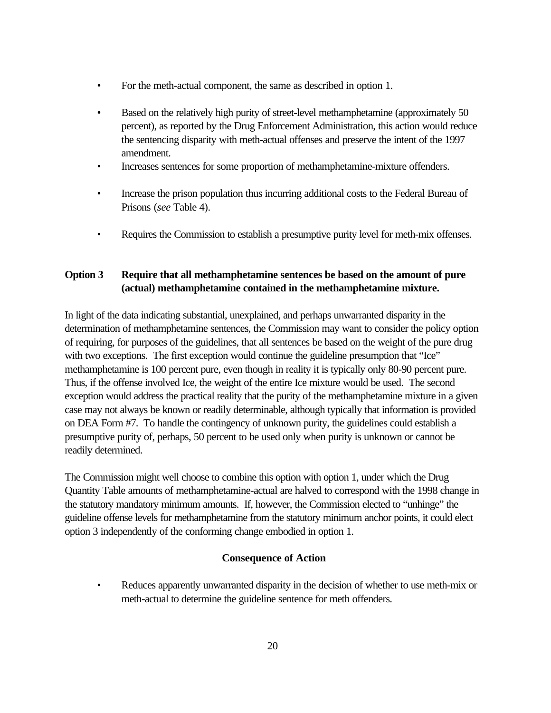- For the meth-actual component, the same as described in option 1.
- Based on the relatively high purity of street-level methamphetamine (approximately 50 percent), as reported by the Drug Enforcement Administration, this action would reduce the sentencing disparity with meth-actual offenses and preserve the intent of the 1997 amendment.
- Increases sentences for some proportion of methamphetamine-mixture offenders.
- Increase the prison population thus incurring additional costs to the Federal Bureau of Prisons (*see* Table 4).
- Requires the Commission to establish a presumptive purity level for meth-mix offenses.

## **Option 3 Require that all methamphetamine sentences be based on the amount of pure (actual) methamphetamine contained in the methamphetamine mixture.**

In light of the data indicating substantial, unexplained, and perhaps unwarranted disparity in the determination of methamphetamine sentences, the Commission may want to consider the policy option of requiring, for purposes of the guidelines, that all sentences be based on the weight of the pure drug with two exceptions. The first exception would continue the guideline presumption that "Ice" methamphetamine is 100 percent pure, even though in reality it is typically only 80-90 percent pure. Thus, if the offense involved Ice, the weight of the entire Ice mixture would be used. The second exception would address the practical reality that the purity of the methamphetamine mixture in a given case may not always be known or readily determinable, although typically that information is provided on DEA Form #7. To handle the contingency of unknown purity, the guidelines could establish a presumptive purity of, perhaps, 50 percent to be used only when purity is unknown or cannot be readily determined.

The Commission might well choose to combine this option with option 1, under which the Drug Quantity Table amounts of methamphetamine-actual are halved to correspond with the 1998 change in the statutory mandatory minimum amounts. If, however, the Commission elected to "unhinge" the guideline offense levels for methamphetamine from the statutory minimum anchor points, it could elect option 3 independently of the conforming change embodied in option 1.

## **Consequence of Action**

• Reduces apparently unwarranted disparity in the decision of whether to use meth-mix or meth-actual to determine the guideline sentence for meth offenders.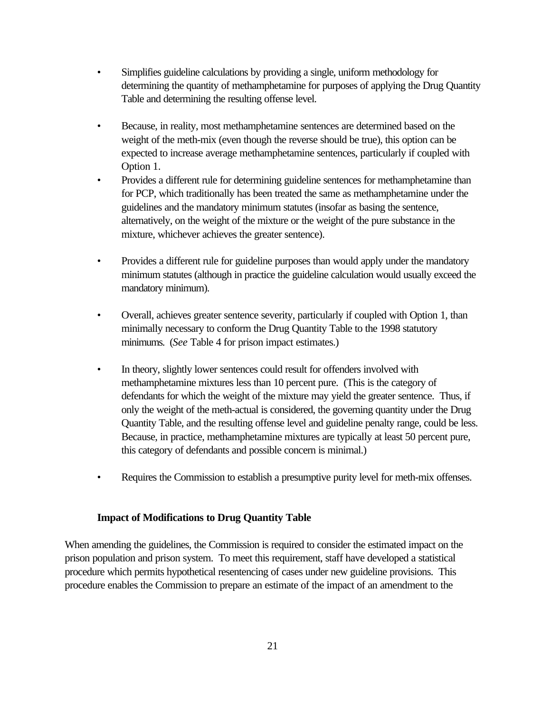- Simplifies guideline calculations by providing a single, uniform methodology for determining the quantity of methamphetamine for purposes of applying the Drug Quantity Table and determining the resulting offense level.
- Because, in reality, most methamphetamine sentences are determined based on the weight of the meth-mix (even though the reverse should be true), this option can be expected to increase average methamphetamine sentences, particularly if coupled with Option 1.
- Provides a different rule for determining guideline sentences for methamphetamine than for PCP, which traditionally has been treated the same as methamphetamine under the guidelines and the mandatory minimum statutes (insofar as basing the sentence, alternatively, on the weight of the mixture or the weight of the pure substance in the mixture, whichever achieves the greater sentence).
- Provides a different rule for guideline purposes than would apply under the mandatory minimum statutes (although in practice the guideline calculation would usually exceed the mandatory minimum).
- Overall, achieves greater sentence severity, particularly if coupled with Option 1, than minimally necessary to conform the Drug Quantity Table to the 1998 statutory minimums. (*See* Table 4 for prison impact estimates.)
- In theory, slightly lower sentences could result for offenders involved with methamphetamine mixtures less than 10 percent pure. (This is the category of defendants for which the weight of the mixture may yield the greater sentence. Thus, if only the weight of the meth-actual is considered, the governing quantity under the Drug Quantity Table, and the resulting offense level and guideline penalty range, could be less. Because, in practice, methamphetamine mixtures are typically at least 50 percent pure, this category of defendants and possible concern is minimal.)
- Requires the Commission to establish a presumptive purity level for meth-mix offenses.

## **Impact of Modifications to Drug Quantity Table**

When amending the guidelines, the Commission is required to consider the estimated impact on the prison population and prison system. To meet this requirement, staff have developed a statistical procedure which permits hypothetical resentencing of cases under new guideline provisions. This procedure enables the Commission to prepare an estimate of the impact of an amendment to the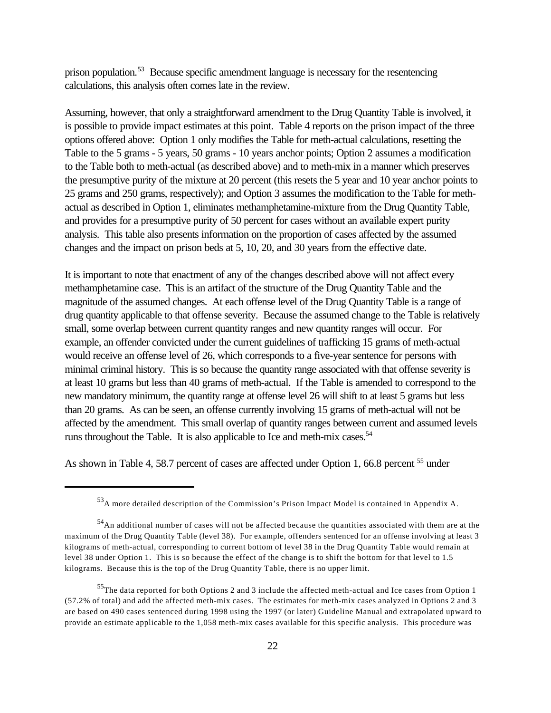prison population.<sup>53</sup> Because specific amendment language is necessary for the resentencing calculations, this analysis often comes late in the review.

Assuming, however, that only a straightforward amendment to the Drug Quantity Table is involved, it is possible to provide impact estimates at this point. Table 4 reports on the prison impact of the three options offered above: Option 1 only modifies the Table for meth-actual calculations, resetting the Table to the 5 grams - 5 years, 50 grams - 10 years anchor points; Option 2 assumes a modification to the Table both to meth-actual (as described above) and to meth-mix in a manner which preserves the presumptive purity of the mixture at 20 percent (this resets the 5 year and 10 year anchor points to 25 grams and 250 grams, respectively); and Option 3 assumes the modification to the Table for methactual as described in Option 1, eliminates methamphetamine-mixture from the Drug Quantity Table, and provides for a presumptive purity of 50 percent for cases without an available expert purity analysis. This table also presents information on the proportion of cases affected by the assumed changes and the impact on prison beds at 5, 10, 20, and 30 years from the effective date.

It is important to note that enactment of any of the changes described above will not affect every methamphetamine case. This is an artifact of the structure of the Drug Quantity Table and the magnitude of the assumed changes. At each offense level of the Drug Quantity Table is a range of drug quantity applicable to that offense severity. Because the assumed change to the Table is relatively small, some overlap between current quantity ranges and new quantity ranges will occur. For example, an offender convicted under the current guidelines of trafficking 15 grams of meth-actual would receive an offense level of 26, which corresponds to a five-year sentence for persons with minimal criminal history. This is so because the quantity range associated with that offense severity is at least 10 grams but less than 40 grams of meth-actual. If the Table is amended to correspond to the new mandatory minimum, the quantity range at offense level 26 will shift to at least 5 grams but less than 20 grams. As can be seen, an offense currently involving 15 grams of meth-actual will not be affected by the amendment. This small overlap of quantity ranges between current and assumed levels runs throughout the Table. It is also applicable to Ice and meth-mix cases.<sup>54</sup>

As shown in Table 4, 58.7 percent of cases are affected under Option 1, 66.8 percent <sup>55</sup> under

 $53A$  more detailed description of the Commission's Prison Impact Model is contained in Appendix A.

<sup>54</sup>An additional number of cases will not be affected because the quantities associated with them are at the maximum of the Drug Quantity Table (level 38). For example, offenders sentenced for an offense involving at least 3 kilograms of meth-actual, corresponding to current bottom of level 38 in the Drug Quantity Table would remain at level 38 under Option 1. This is so because the effect of the change is to shift the bottom for that level to 1.5 kilograms. Because this is the top of the Drug Quantity Table, there is no upper limit.

<sup>&</sup>lt;sup>55</sup>The data reported for both Options 2 and 3 include the affected meth-actual and Ice cases from Option 1 (57.2% of total) and add the affected meth-mix cases. The estimates for meth-mix cases analyzed in Options 2 and 3 are based on 490 cases sentenced during 1998 using the 1997 (or later) Guideline Manual and extrapolated upward to provide an estimate applicable to the 1,058 meth-mix cases available for this specific analysis. This procedure was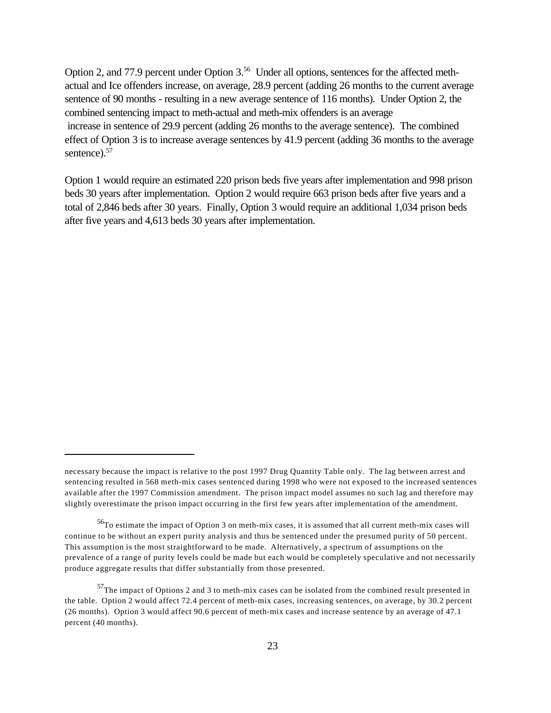Option 2, and 77.9 percent under Option 3.<sup>56</sup> Under all options, sentences for the affected methactual and Ice offenders increase, on average, 28.9 percent (adding 26 months to the current average sentence of 90 months - resulting in a new average sentence of 116 months). Under Option 2, the combined sentencing impact to meth-actual and meth-mix offenders is an average increase in sentence of 29.9 percent (adding 26 months to the average sentence). The combined effect of Option 3 is to increase average sentences by 41.9 percent (adding 36 months to the average sentence).<sup>57</sup>

Option 1 would require an estimated 220 prison beds five years after implementation and 998 prison beds 30 years after implementation. Option 2 would require 663 prison beds after five years and a total of 2,846 beds after 30 years. Finally, Option 3 would require an additional 1,034 prison beds after five years and 4,613 beds 30 years after implementation.

necessary because the impact is relative to the post 1997 Drug Quantity Table only. The lag between arrest and sentencing resulted in 568 meth-mix cases sentenced during 1998 who were not exposed to the increased sentences available after the 1997 Commission amendment. The prison impact model assumes no such lag and therefore may slightly overestimate the prison impact occurring in the first few years after implementation of the amendment.

 $56T$ o estimate the impact of Option 3 on meth-mix cases, it is assumed that all current meth-mix cases will continue to be without an expert purity analysis and thus be sentenced under the presumed purity of 50 percent. This assumption is the most straightforward to be made. Alternatively, a spectrum of assumptions on the prevalence of a range of purity levels could be made but each would be completely speculative and not necessarily produce aggregate results that differ substantially from those presented.

 $57$ The impact of Options 2 and 3 to meth-mix cases can be isolated from the combined result presented in the table. Option 2 would affect 72.4 percent of meth-mix cases, increasing sentences, on average, by 30.2 percent (26 months). Option 3 would affect 90.6 percent of meth-mix cases and increase sentence by an average of 47.1 percent (40 months).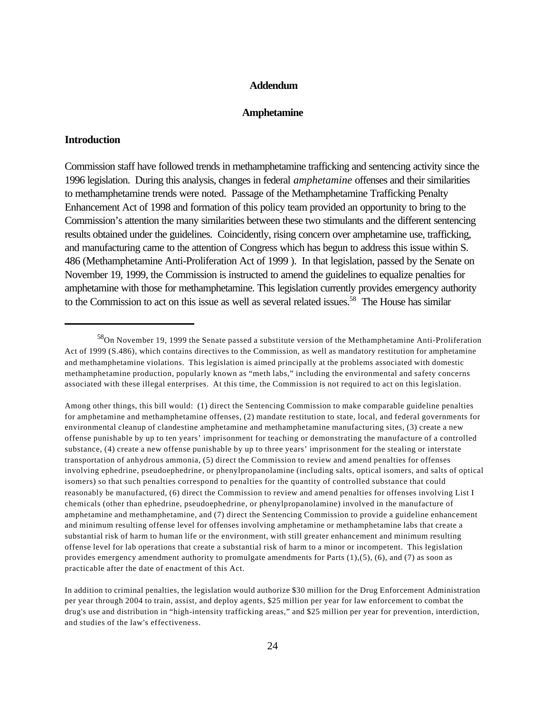#### **Addendum**

#### **Amphetamine**

#### **Introduction**

Commission staff have followed trends in methamphetamine trafficking and sentencing activity since the 1996 legislation. During this analysis, changes in federal *amphetamine* offenses and their similarities to methamphetamine trends were noted. Passage of the Methamphetamine Trafficking Penalty Enhancement Act of 1998 and formation of this policy team provided an opportunity to bring to the Commission's attention the many similarities between these two stimulants and the different sentencing results obtained under the guidelines. Coincidently, rising concern over amphetamine use, trafficking, and manufacturing came to the attention of Congress which has begun to address this issue within S. 486 (Methamphetamine Anti-Proliferation Act of 1999 ). In that legislation, passed by the Senate on November 19, 1999, the Commission is instructed to amend the guidelines to equalize penalties for amphetamine with those for methamphetamine. This legislation currently provides emergency authority to the Commission to act on this issue as well as several related issues.<sup>58</sup> The House has similar

<sup>58</sup>On November 19, 1999 the Senate passed a substitute version of the Methamphetamine Anti-Proliferation Act of 1999 (S.486), which contains directives to the Commission, as well as mandatory restitution for amphetamine and methamphetamine violations. This legislation is aimed principally at the problems associated with domestic methamphetamine production, popularly known as "meth labs," including the environmental and safety concerns associated with these illegal enterprises. At this time, the Commission is not required to act on this legislation.

Among other things, this bill would: (1) direct the Sentencing Commission to make comparable guideline penalties for amphetamine and methamphetamine offenses, (2) mandate restitution to state, local, and federal governments for environmental cleanup of clandestine amphetamine and methamphetamine manufacturing sites, (3) create a new offense punishable by up to ten years' imprisonment for teaching or demonstrating the manufacture of a controlled substance, (4) create a new offense punishable by up to three years' imprisonment for the stealing or interstate transportation of anhydrous ammonia, (5) direct the Commission to review and amend penalties for offenses involving ephedrine, pseudoephedrine, or phenylpropanolamine (including salts, optical isomers, and salts of optical isomers) so that such penalties correspond to penalties for the quantity of controlled substance that could reasonably be manufactured, (6) direct the Commission to review and amend penalties for offenses involving List I chemicals (other than ephedrine, pseudoephedrine, or phenylpropanolamine) involved in the manufacture of amphetamine and methamphetamine, and (7) direct the Sentencing Commission to provide a guideline enhancement and minimum resulting offense level for offenses involving amphetamine or methamphetamine labs that create a substantial risk of harm to human life or the environment, with still greater enhancement and minimum resulting offense level for lab operations that create a substantial risk of harm to a minor or incompetent. This legislation provides emergency amendment authority to promulgate amendments for Parts (1),(5), (6), and (7) as soon as practicable after the date of enactment of this Act.

In addition to criminal penalties, the legislation would authorize \$30 million for the Drug Enforcement Administration per year through 2004 to train, assist, and deploy agents, \$25 million per year for law enforcement to combat the drug's use and distribution in "high-intensity trafficking areas," and \$25 million per year for prevention, interdiction, and studies of the law's effectiveness.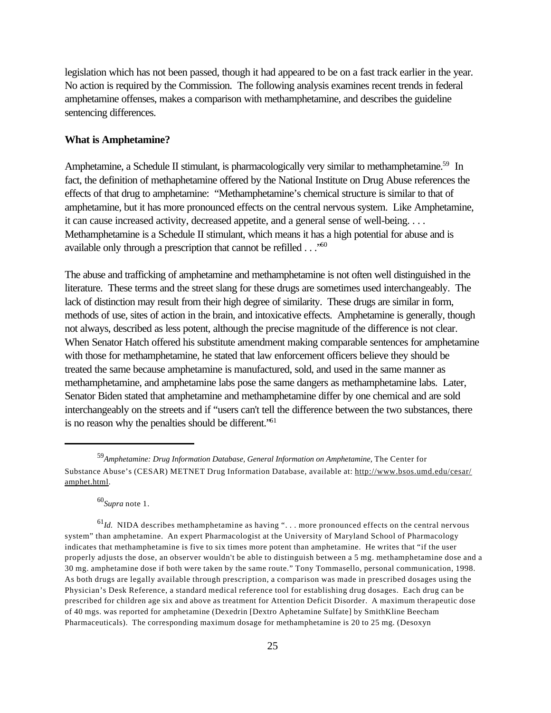legislation which has not been passed, though it had appeared to be on a fast track earlier in the year. No action is required by the Commission. The following analysis examines recent trends in federal amphetamine offenses, makes a comparison with methamphetamine, and describes the guideline sentencing differences.

#### **What is Amphetamine?**

Amphetamine, a Schedule II stimulant, is pharmacologically very similar to methamphetamine.<sup>59</sup> In fact, the definition of methaphetamine offered by the National Institute on Drug Abuse references the effects of that drug to amphetamine: "Methamphetamine's chemical structure is similar to that of amphetamine, but it has more pronounced effects on the central nervous system. Like Amphetamine, it can cause increased activity, decreased appetite, and a general sense of well-being. . . . Methamphetamine is a Schedule II stimulant, which means it has a high potential for abuse and is available only through a prescription that cannot be refilled . . . "<sup>60</sup>

The abuse and trafficking of amphetamine and methamphetamine is not often well distinguished in the literature. These terms and the street slang for these drugs are sometimes used interchangeably. The lack of distinction may result from their high degree of similarity. These drugs are similar in form, methods of use, sites of action in the brain, and intoxicative effects. Amphetamine is generally, though not always, described as less potent, although the precise magnitude of the difference is not clear. When Senator Hatch offered his substitute amendment making comparable sentences for amphetamine with those for methamphetamine, he stated that law enforcement officers believe they should be treated the same because amphetamine is manufactured, sold, and used in the same manner as methamphetamine, and amphetamine labs pose the same dangers as methamphetamine labs. Later, Senator Biden stated that amphetamine and methamphetamine differ by one chemical and are sold interchangeably on the streets and if "users can't tell the difference between the two substances, there is no reason why the penalties should be different."61

<sup>60</sup>*Supra* note 1.

<sup>59</sup>*Amphetamine: Drug Information Database, General Information on Amphetamine,* The Center for Substance Abuse's (CESAR) METNET Drug Information Database, available at: http://www.bsos.umd.edu/cesar/ amphet.html.

<sup>&</sup>lt;sup>61</sup>*Id*. NIDA describes methamphetamine as having "... more pronounced effects on the central nervous system" than amphetamine. An expert Pharmacologist at the University of Maryland School of Pharmacology indicates that methamphetamine is five to six times more potent than amphetamine. He writes that "if the user properly adjusts the dose, an observer wouldn't be able to distinguish between a 5 mg. methamphetamine dose and a 30 mg. amphetamine dose if both were taken by the same route." Tony Tommasello, personal communication, 1998. As both drugs are legally available through prescription, a comparison was made in prescribed dosages using the Physician's Desk Reference, a standard medical reference tool for establishing drug dosages. Each drug can be prescribed for children age six and above as treatment for Attention Deficit Disorder. A maximum therapeutic dose of 40 mgs. was reported for amphetamine (Dexedrin [Dextro Aphetamine Sulfate] by SmithKline Beecham Pharmaceuticals). The corresponding maximum dosage for methamphetamine is 20 to 25 mg. (Desoxyn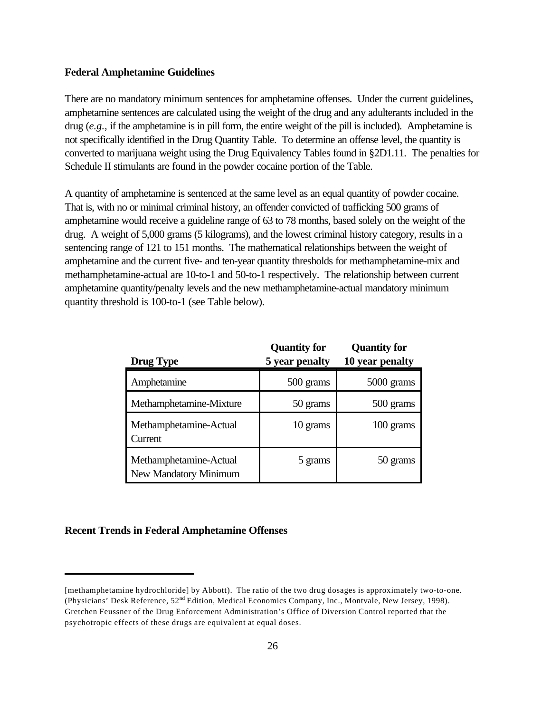#### **Federal Amphetamine Guidelines**

There are no mandatory minimum sentences for amphetamine offenses. Under the current guidelines, amphetamine sentences are calculated using the weight of the drug and any adulterants included in the drug (*e.g.,* if the amphetamine is in pill form, the entire weight of the pill is included). Amphetamine is not specifically identified in the Drug Quantity Table. To determine an offense level, the quantity is converted to marijuana weight using the Drug Equivalency Tables found in §2D1.11. The penalties for Schedule II stimulants are found in the powder cocaine portion of the Table.

A quantity of amphetamine is sentenced at the same level as an equal quantity of powder cocaine. That is, with no or minimal criminal history, an offender convicted of trafficking 500 grams of amphetamine would receive a guideline range of 63 to 78 months, based solely on the weight of the drug. A weight of 5,000 grams (5 kilograms), and the lowest criminal history category, results in a sentencing range of 121 to 151 months. The mathematical relationships between the weight of amphetamine and the current five- and ten-year quantity thresholds for methamphetamine-mix and methamphetamine-actual are 10-to-1 and 50-to-1 respectively. The relationship between current amphetamine quantity/penalty levels and the new methamphetamine-actual mandatory minimum quantity threshold is 100-to-1 (see Table below).

| <b>Drug Type</b>                                | <b>Quantity for</b><br>5 year penalty | <b>Quantity for</b><br>10 year penalty |
|-------------------------------------------------|---------------------------------------|----------------------------------------|
| Amphetamine                                     | 500 grams                             | 5000 grams                             |
| Methamphetamine-Mixture                         | 50 grams                              | 500 grams                              |
| Methamphetamine-Actual<br>Current               | 10 grams                              | 100 grams                              |
| Methamphetamine-Actual<br>New Mandatory Minimum | 5 grams                               | 50 grams                               |

#### **Recent Trends in Federal Amphetamine Offenses**

<sup>[</sup>methamphetamine hydrochloride] by Abbott). The ratio of the two drug dosages is approximately two-to-one. (Physicians' Desk Reference, 52nd Edition, Medical Economics Company, Inc., Montvale, New Jersey, 1998). Gretchen Feussner of the Drug Enforcement Administration's Office of Diversion Control reported that the psychotropic effects of these drugs are equivalent at equal doses.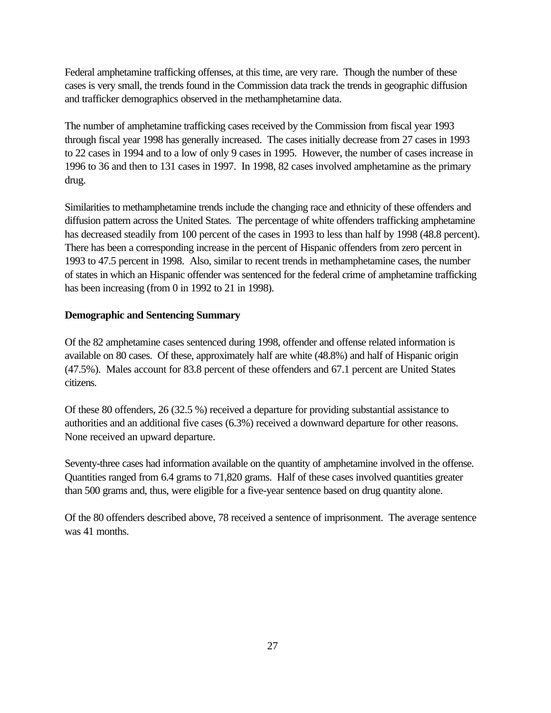Federal amphetamine trafficking offenses, at this time, are very rare. Though the number of these cases is very small, the trends found in the Commission data track the trends in geographic diffusion and trafficker demographics observed in the methamphetamine data.

The number of amphetamine trafficking cases received by the Commission from fiscal year 1993 through fiscal year 1998 has generally increased. The cases initially decrease from 27 cases in 1993 to 22 cases in 1994 and to a low of only 9 cases in 1995. However, the number of cases increase in 1996 to 36 and then to 131 cases in 1997. In 1998, 82 cases involved amphetamine as the primary drug.

Similarities to methamphetamine trends include the changing race and ethnicity of these offenders and diffusion pattern across the United States. The percentage of white offenders trafficking amphetamine has decreased steadily from 100 percent of the cases in 1993 to less than half by 1998 (48.8 percent). There has been a corresponding increase in the percent of Hispanic offenders from zero percent in 1993 to 47.5 percent in 1998. Also, similar to recent trends in methamphetamine cases, the number of states in which an Hispanic offender was sentenced for the federal crime of amphetamine trafficking has been increasing (from 0 in 1992 to 21 in 1998).

## **Demographic and Sentencing Summary**

Of the 82 amphetamine cases sentenced during 1998, offender and offense related information is available on 80 cases. Of these, approximately half are white (48.8%) and half of Hispanic origin (47.5%). Males account for 83.8 percent of these offenders and 67.1 percent are United States citizens.

Of these 80 offenders, 26 (32.5 %) received a departure for providing substantial assistance to authorities and an additional five cases (6.3%) received a downward departure for other reasons. None received an upward departure.

Seventy-three cases had information available on the quantity of amphetamine involved in the offense. Quantities ranged from 6.4 grams to 71,820 grams. Half of these cases involved quantities greater than 500 grams and, thus, were eligible for a five-year sentence based on drug quantity alone.

Of the 80 offenders described above, 78 received a sentence of imprisonment. The average sentence was 41 months.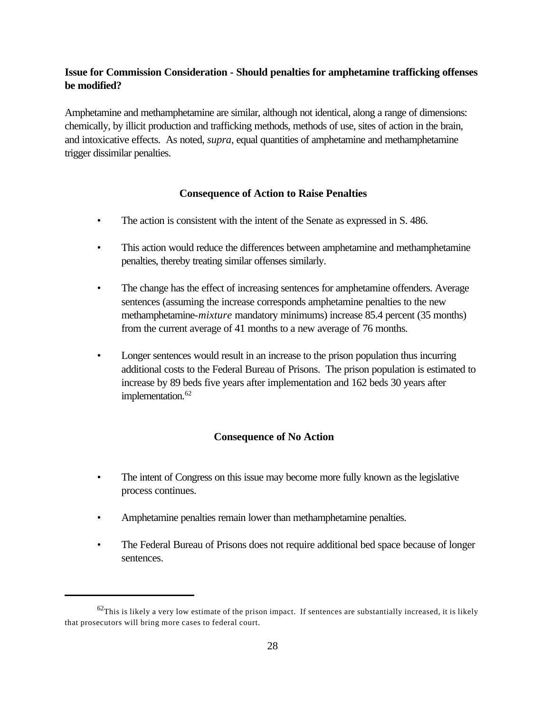## **Issue for Commission Consideration - Should penalties for amphetamine trafficking offenses be modified?**

Amphetamine and methamphetamine are similar, although not identical, along a range of dimensions: chemically, by illicit production and trafficking methods, methods of use, sites of action in the brain, and intoxicative effects. As noted, *supra*, equal quantities of amphetamine and methamphetamine trigger dissimilar penalties.

## **Consequence of Action to Raise Penalties**

- The action is consistent with the intent of the Senate as expressed in S. 486.
- This action would reduce the differences between amphetamine and methamphetamine penalties, thereby treating similar offenses similarly.
- The change has the effect of increasing sentences for amphetamine offenders. Average sentences (assuming the increase corresponds amphetamine penalties to the new methamphetamine-*mixture* mandatory minimums) increase 85.4 percent (35 months) from the current average of 41 months to a new average of 76 months.
- Longer sentences would result in an increase to the prison population thus incurring additional costs to the Federal Bureau of Prisons. The prison population is estimated to increase by 89 beds five years after implementation and 162 beds 30 years after implementation.<sup>62</sup>

#### **Consequence of No Action**

- The intent of Congress on this issue may become more fully known as the legislative process continues.
- Amphetamine penalties remain lower than methamphetamine penalties.
- The Federal Bureau of Prisons does not require additional bed space because of longer sentences.

 $62$ This is likely a very low estimate of the prison impact. If sentences are substantially increased, it is likely that prosecutors will bring more cases to federal court.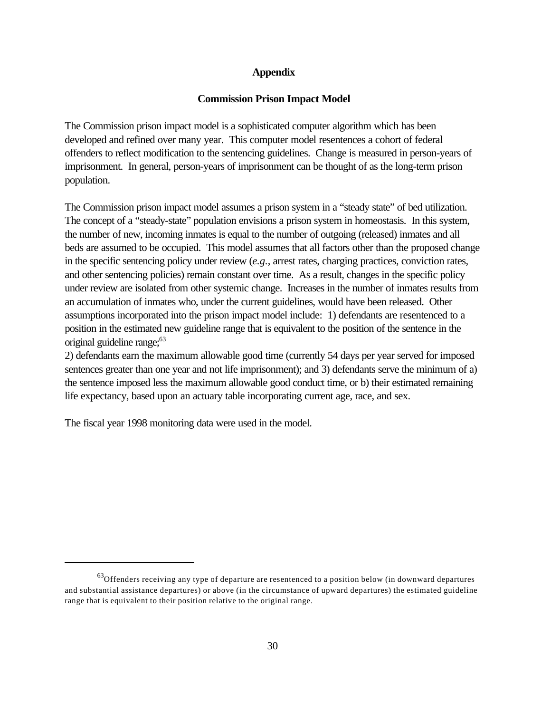## **Appendix**

#### **Commission Prison Impact Model**

The Commission prison impact model is a sophisticated computer algorithm which has been developed and refined over many year. This computer model resentences a cohort of federal offenders to reflect modification to the sentencing guidelines. Change is measured in person-years of imprisonment. In general, person-years of imprisonment can be thought of as the long-term prison population.

The Commission prison impact model assumes a prison system in a "steady state" of bed utilization. The concept of a "steady-state" population envisions a prison system in homeostasis. In this system, the number of new, incoming inmates is equal to the number of outgoing (released) inmates and all beds are assumed to be occupied. This model assumes that all factors other than the proposed change in the specific sentencing policy under review (*e.g.*, arrest rates, charging practices, conviction rates, and other sentencing policies) remain constant over time. As a result, changes in the specific policy under review are isolated from other systemic change. Increases in the number of inmates results from an accumulation of inmates who, under the current guidelines, would have been released. Other assumptions incorporated into the prison impact model include: 1) defendants are resentenced to a position in the estimated new guideline range that is equivalent to the position of the sentence in the original guideline range;<sup>63</sup>

2) defendants earn the maximum allowable good time (currently 54 days per year served for imposed sentences greater than one year and not life imprisonment); and 3) defendants serve the minimum of a) the sentence imposed less the maximum allowable good conduct time, or b) their estimated remaining life expectancy, based upon an actuary table incorporating current age, race, and sex.

The fiscal year 1998 monitoring data were used in the model.

 $^{63}$ Offenders receiving any type of departure are resentenced to a position below (in downward departures and substantial assistance departures) or above (in the circumstance of upward departures) the estimated guideline range that is equivalent to their position relative to the original range.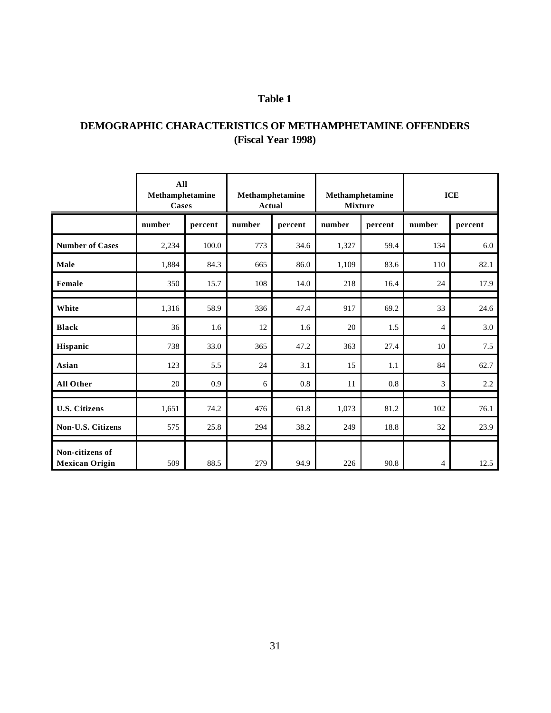## **Table 1**

## **DEMOGRAPHIC CHARACTERISTICS OF METHAMPHETAMINE OFFENDERS (Fiscal Year 1998)**

|                                          | All<br>Methamphetamine<br>Cases |         | Methamphetamine<br><b>Actual</b> |         | Methamphetamine<br><b>Mixture</b> |         |                | <b>ICE</b> |
|------------------------------------------|---------------------------------|---------|----------------------------------|---------|-----------------------------------|---------|----------------|------------|
|                                          | number                          | percent | number                           | percent | number                            | percent | number         | percent    |
| <b>Number of Cases</b>                   | 2,234                           | 100.0   | 773                              | 34.6    | 1,327                             | 59.4    | 134            | 6.0        |
| Male                                     | 1,884                           | 84.3    | 665                              | 86.0    | 1,109                             | 83.6    | 110            | 82.1       |
| Female                                   | 350                             | 15.7    | 108                              | 14.0    | 218                               | 16.4    | 24             | 17.9       |
| White                                    | 1,316                           | 58.9    | 336                              | 47.4    | 917                               | 69.2    | 33             | 24.6       |
| <b>Black</b>                             | 36                              | 1.6     | 12                               | 1.6     | 20                                | 1.5     | 4              | 3.0        |
| Hispanic                                 | 738                             | 33.0    | 365                              | 47.2    | 363                               | 27.4    | 10             | 7.5        |
| Asian                                    | 123                             | 5.5     | 24                               | 3.1     | 15                                | 1.1     | 84             | 62.7       |
| All Other                                | 20                              | 0.9     | 6                                | $0.8\,$ | 11                                | 0.8     | 3              | 2.2        |
| <b>U.S. Citizens</b>                     | 1,651                           | 74.2    | 476                              | 61.8    | 1,073                             | 81.2    | 102            | 76.1       |
| Non-U.S. Citizens                        | 575                             | 25.8    | 294                              | 38.2    | 249                               | 18.8    | 32             | 23.9       |
| Non-citizens of<br><b>Mexican Origin</b> | 509                             | 88.5    | 279                              | 94.9    | 226                               | 90.8    | $\overline{4}$ | 12.5       |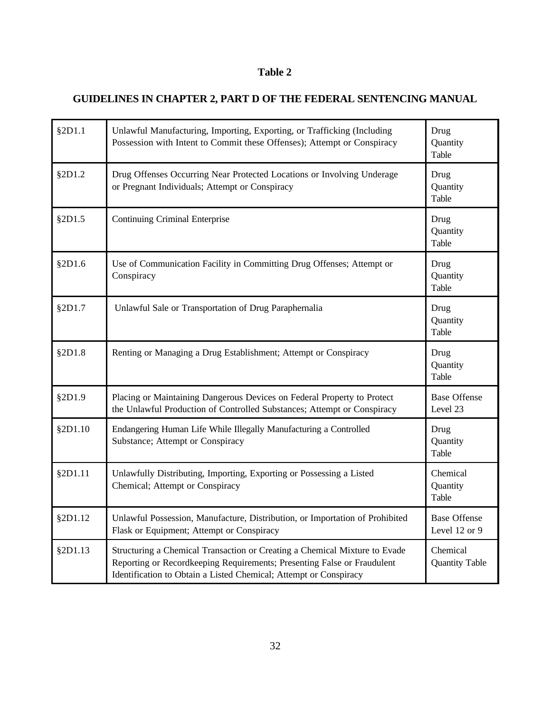## **Table 2**

## **GUIDELINES IN CHAPTER 2, PART D OF THE FEDERAL SENTENCING MANUAL**

| §2D1.1  | Unlawful Manufacturing, Importing, Exporting, or Trafficking (Including<br>Possession with Intent to Commit these Offenses); Attempt or Conspiracy                                                                         | Drug<br>Quantity<br>Table            |
|---------|----------------------------------------------------------------------------------------------------------------------------------------------------------------------------------------------------------------------------|--------------------------------------|
| \$2D1.2 | Drug Offenses Occurring Near Protected Locations or Involving Underage<br>or Pregnant Individuals; Attempt or Conspiracy                                                                                                   | Drug<br>Quantity<br>Table            |
| \$2D1.5 | <b>Continuing Criminal Enterprise</b>                                                                                                                                                                                      | Drug<br>Quantity<br>Table            |
| \$2D1.6 | Use of Communication Facility in Committing Drug Offenses; Attempt or<br>Conspiracy                                                                                                                                        | Drug<br>Quantity<br>Table            |
| §2D1.7  | Unlawful Sale or Transportation of Drug Paraphernalia                                                                                                                                                                      | Drug<br>Quantity<br>Table            |
| §2D1.8  | Renting or Managing a Drug Establishment; Attempt or Conspiracy                                                                                                                                                            | Drug<br>Quantity<br>Table            |
| §2D1.9  | Placing or Maintaining Dangerous Devices on Federal Property to Protect<br>the Unlawful Production of Controlled Substances; Attempt or Conspiracy                                                                         | <b>Base Offense</b><br>Level 23      |
| §2D1.10 | Endangering Human Life While Illegally Manufacturing a Controlled<br>Substance; Attempt or Conspiracy                                                                                                                      | Drug<br>Quantity<br>Table            |
| §2D1.11 | Unlawfully Distributing, Importing, Exporting or Possessing a Listed<br>Chemical; Attempt or Conspiracy                                                                                                                    | Chemical<br>Quantity<br>Table        |
| §2D1.12 | Unlawful Possession, Manufacture, Distribution, or Importation of Prohibited<br>Flask or Equipment; Attempt or Conspiracy                                                                                                  | <b>Base Offense</b><br>Level 12 or 9 |
| §2D1.13 | Structuring a Chemical Transaction or Creating a Chemical Mixture to Evade<br>Reporting or Recordkeeping Requirements; Presenting False or Fraudulent<br>Identification to Obtain a Listed Chemical; Attempt or Conspiracy | Chemical<br><b>Quantity Table</b>    |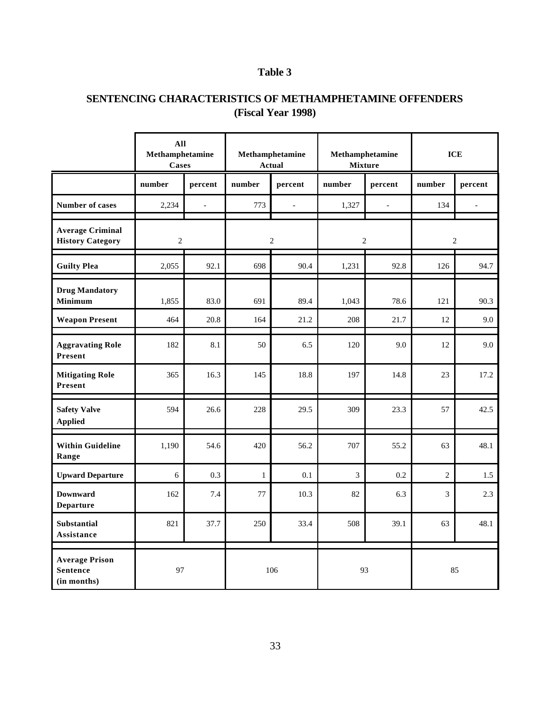## **Table 3**

## **SENTENCING CHARACTERISTICS OF METHAMPHETAMINE OFFENDERS (Fiscal Year 1998)**

|                                                         | All<br>Methamphetamine<br>Cases |                |                | Methamphetamine<br><b>Actual</b> | Methamphetamine<br><b>Mixture</b> |                     | <b>ICE</b>     |         |  |
|---------------------------------------------------------|---------------------------------|----------------|----------------|----------------------------------|-----------------------------------|---------------------|----------------|---------|--|
|                                                         | number                          | percent        | number         | percent                          | number<br>percent                 |                     | number         | percent |  |
| <b>Number of cases</b>                                  | 2,234                           | $\overline{a}$ | 773            |                                  | 1,327                             | $\bar{\phantom{a}}$ | 134            |         |  |
| <b>Average Criminal</b><br><b>History Category</b>      | $\sqrt{2}$                      |                | $\overline{c}$ |                                  | $\overline{c}$                    |                     | $\overline{2}$ |         |  |
| <b>Guilty Plea</b>                                      | 2,055                           | 92.1           | 698            | 90.4                             | 1,231                             | 92.8                | 126            | 94.7    |  |
| <b>Drug Mandatory</b><br><b>Minimum</b>                 | 1,855                           | 83.0           | 691            | 89.4                             | 1,043                             | 78.6                | 121            | 90.3    |  |
| <b>Weapon Present</b>                                   | 464                             | 20.8           | 164            | 21.2                             | 208                               | 21.7                |                | 9.0     |  |
| <b>Aggravating Role</b><br>Present                      | 182                             | 8.1            | 50             | 6.5                              | 120                               | 9.0                 | 12             | 9.0     |  |
| <b>Mitigating Role</b><br>Present                       | 365                             | 16.3           | 145            | 18.8                             | 197                               | 14.8                | 23             | 17.2    |  |
| <b>Safety Valve</b><br><b>Applied</b>                   | 594                             | 26.6           | 228            | 29.5                             | 309                               | 23.3                | 57             | 42.5    |  |
| <b>Within Guideline</b><br>Range                        | 1,190                           | 54.6           | 420            | 56.2                             | 707                               | 55.2                | 63             | 48.1    |  |
| <b>Upward Departure</b>                                 | 6                               | 0.3            | $\mathbf{1}$   | 0.1                              | 3                                 | 0.2                 | $\mathbf{2}$   | 1.5     |  |
| <b>Downward</b><br><b>Departure</b>                     | 162                             | 7.4            | $77\,$         | 10.3                             | 82                                | 6.3                 | 3              | 2.3     |  |
| Substantial<br>Assistance                               | 821                             | 37.7           | 250            | 33.4                             | 508                               | 39.1                | 63             | 48.1    |  |
| <b>Average Prison</b><br><b>Sentence</b><br>(in months) |                                 | 97             |                | 106                              |                                   | 93                  |                | 85      |  |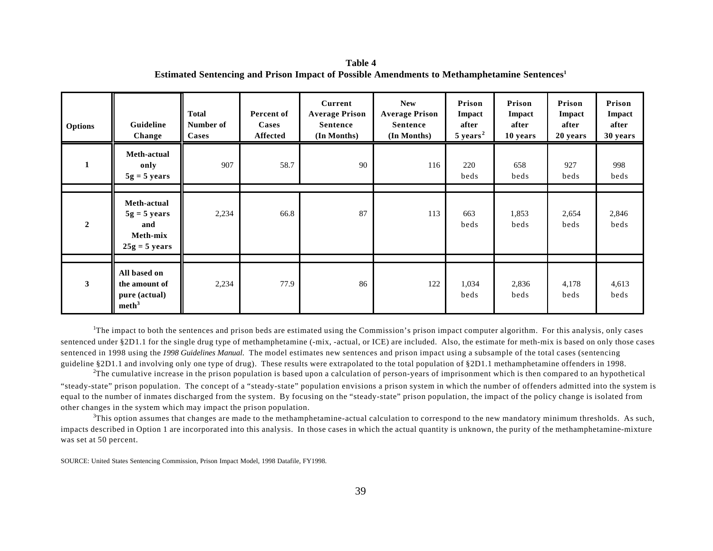**Table 4 Estimated Sentencing and Prison Impact of Possible Amendments to Methamphetamine Sentences<sup>1</sup>**

| <b>Options</b> | Guideline<br>Change                                                         | <b>Total</b><br>Number of<br>Cases | Percent of<br>Cases<br>Affected | Current<br><b>Average Prison</b><br><b>Sentence</b><br>(In Months) | <b>New</b><br><b>Average Prison</b><br><b>Sentence</b><br>(In Months) | Prison<br>Impact<br>after<br>$5 \text{ years}^2$ | Prison<br><b>Impact</b><br>after<br>10 years | Prison<br><b>Impact</b><br>after<br>20 years | Prison<br>Impact<br>after<br>30 years |
|----------------|-----------------------------------------------------------------------------|------------------------------------|---------------------------------|--------------------------------------------------------------------|-----------------------------------------------------------------------|--------------------------------------------------|----------------------------------------------|----------------------------------------------|---------------------------------------|
| 1              | Meth-actual<br>only<br>$5g = 5$ years                                       | 907                                | 58.7                            | 90                                                                 | 116                                                                   | 220<br>beds                                      | 658<br>beds                                  | 927<br>beds                                  | 998<br>beds                           |
| $\overline{2}$ | Meth-actual<br>$5g = 5$ years<br>and<br>Meth-mix<br>$25g = 5 \text{ years}$ | 2,234                              | 66.8                            | 87                                                                 | 113                                                                   | 663<br>beds                                      | 1,853<br>beds                                | 2,654<br>beds                                | 2,846<br>beds                         |
| 3              | All based on<br>the amount of<br>pure (actual)<br>$\mathbf{meth}^3$         | 2,234                              | 77.9                            | 86                                                                 | 122                                                                   | 1,034<br>beds                                    | 2,836<br>beds                                | 4,178<br>beds                                | 4,613<br>beds                         |

<sup>1</sup>The impact to both the sentences and prison beds are estimated using the Commission's prison impact computer algorithm. For this analysis, only cases sentenced under §2D1.1 for the single drug type of methamphetamine (-mix, -actual, or ICE) are included. Also, the estimate for meth-mix is based on only those cases sentenced in 1998 using the *1998 Guidelines Manual*. The model estimates new sentences and prison impact using a subsample of the total cases (sentencing guideline §2D1.1 and involving only one type of drug). These results were extrapolated to the total population of §2D1.1 methamphetamine offenders in 1998.

 ${}^{2}$ The cumulative increase in the prison population is based upon a calculation of person-years of imprisonment which is then compared to an hypothetical "steady-state" prison population. The concept of a "steady-state" population envisions a prison system in which the number of offenders admitted into the system is equal to the number of inmates discharged from the system. By focusing on the "steady-state" prison population, the impact of the policy change is isolated from other changes in the system which may impact the prison population.

 $3$ This option assumes that changes are made to the methamphetamine-actual calculation to correspond to the new mandatory minimum thresholds. As such, impacts described in Option 1 are incorporated into this analysis. In those cases in which the actual quantity is unknown, the purity of the methamphetamine-mixture was set at 50 percent.

SOURCE: United States Sentencing Commission, Prison Impact Model, 1998 Datafile, FY1998.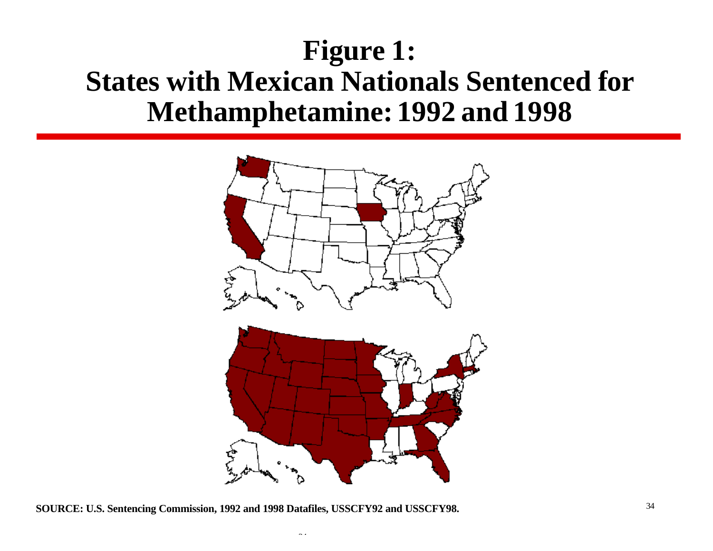# **Figure 1: States with Mexican Nationals Sentenced for Methamphetamine: 1992 and 1998**



**SOURCE: U.S. Sentencing Commission, 1992 and 1998 Datafiles, USSCFY92 and USSCFY98.**

34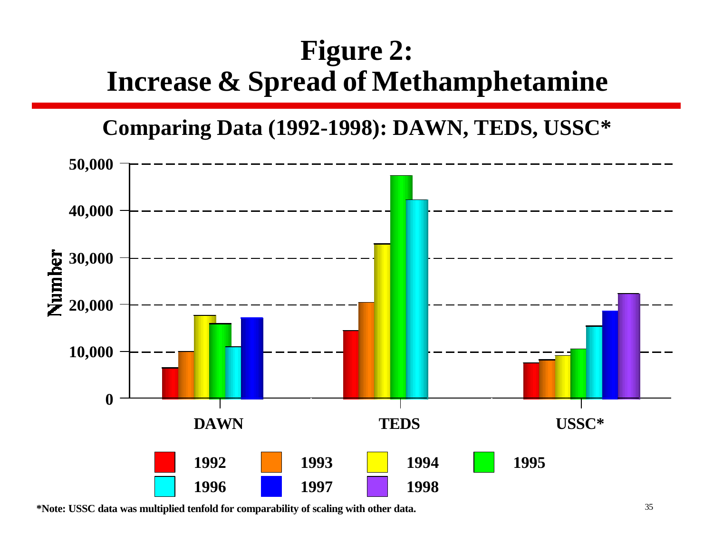# **Figure 2: Increase & Spread of Methamphetamine**

**Comparing Data (1992-1998): DAWN, TEDS, USSC\***



**\*Note: USSC data was multiplied tenfold for comparability of scaling with other data.** 35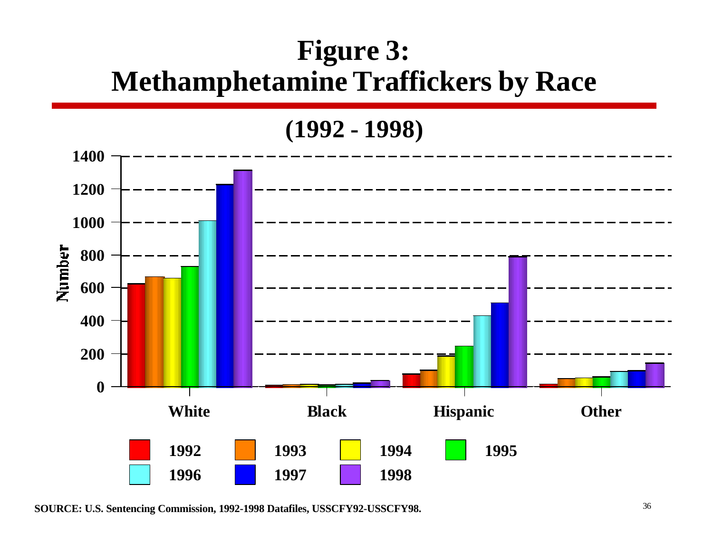# **Figure 3: Methamphetamine Traffickers by Race**

**(1992 - 1998)**



**SOURCE: U.S. Sentencing Commission, 1992-1998 Datafiles, USSCFY92-USSCFY98.** 36